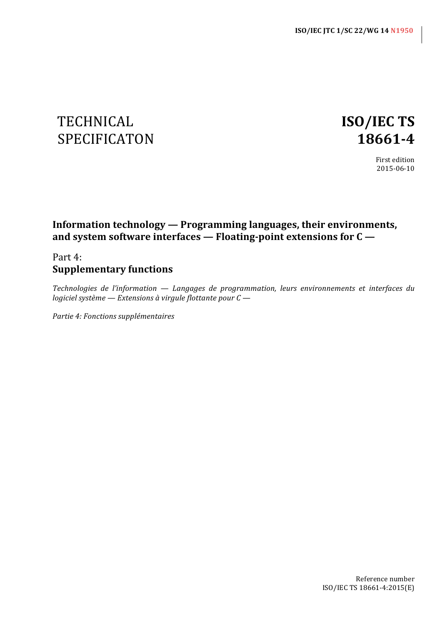# TECHNICAL **ISO/IEC TS** SPECIFICATON **18661-4**

First edition 2015-06-10

# **Information technology — Programming languages, their environments,** and system software interfaces — Floating-point extensions for C —

# Part 4: **Supplementary functions**

*Technologies de l'information* — *Langages de programmation, leurs environnements et interfaces du logiciel système* — *Extensions* à virgule flottante pour  $C$  —

*Partie 4: Fonctions supplémentaires*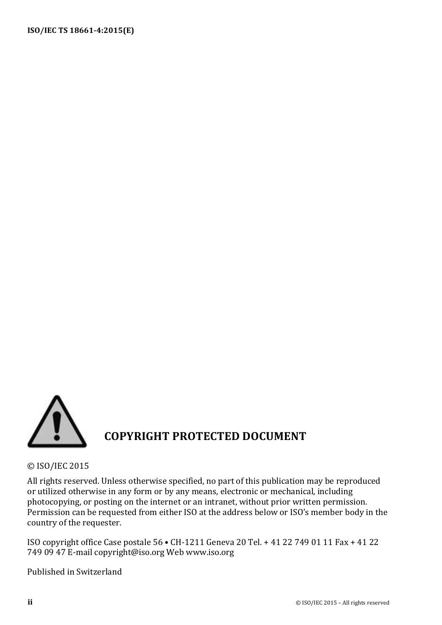

© ISO/IEC 2015 

All rights reserved. Unless otherwise specified, no part of this publication may be reproduced or utilized otherwise in any form or by any means, electronic or mechanical, including photocopying, or posting on the internet or an intranet, without prior written permission. Permission can be requested from either ISO at the address below or ISO's member body in the country of the requester.

ISO copyright office Case postale 56 • CH-1211 Geneva 20 Tel. + 41 22 749 01 11 Fax + 41 22 749 09 47 E-mail copyright@iso.org Web www.iso.org

Published in Switzerland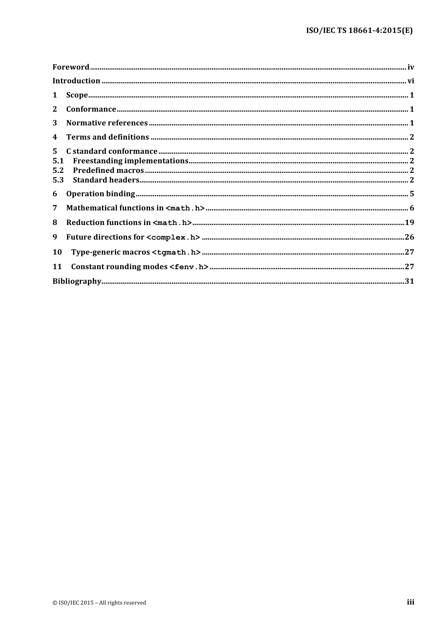| $\mathbf{1}$       | $\textbf{Scope} \textit{} \textit{} \textit{} \textit{} \textit{} \textit{} \textit{} \textit{} \textit{} \textit{} \textit{} \textit{} \textit{} \textit{} \textit{} \textit{} \textit{} \textit{} \textit{} \textit{} \textit{} \textit{} \textit{} \textit{} \textit{} \textit{} \textit{} \textit{} \textit{} \textit{} \textit{} \textit{} \textit{} \textit{} \textit{} \textit{$ |  |
|--------------------|-----------------------------------------------------------------------------------------------------------------------------------------------------------------------------------------------------------------------------------------------------------------------------------------------------------------------------------------------------------------------------------------|--|
| $\mathbf{2}$       |                                                                                                                                                                                                                                                                                                                                                                                         |  |
| 3                  |                                                                                                                                                                                                                                                                                                                                                                                         |  |
| $\boldsymbol{4}$   |                                                                                                                                                                                                                                                                                                                                                                                         |  |
| $5^{\circ}$<br>5.1 |                                                                                                                                                                                                                                                                                                                                                                                         |  |
| 5.2<br>5.3         |                                                                                                                                                                                                                                                                                                                                                                                         |  |
| 6                  |                                                                                                                                                                                                                                                                                                                                                                                         |  |
| 7                  |                                                                                                                                                                                                                                                                                                                                                                                         |  |
| 8                  |                                                                                                                                                                                                                                                                                                                                                                                         |  |
| 9                  |                                                                                                                                                                                                                                                                                                                                                                                         |  |
| 10                 |                                                                                                                                                                                                                                                                                                                                                                                         |  |
| 11                 |                                                                                                                                                                                                                                                                                                                                                                                         |  |
|                    |                                                                                                                                                                                                                                                                                                                                                                                         |  |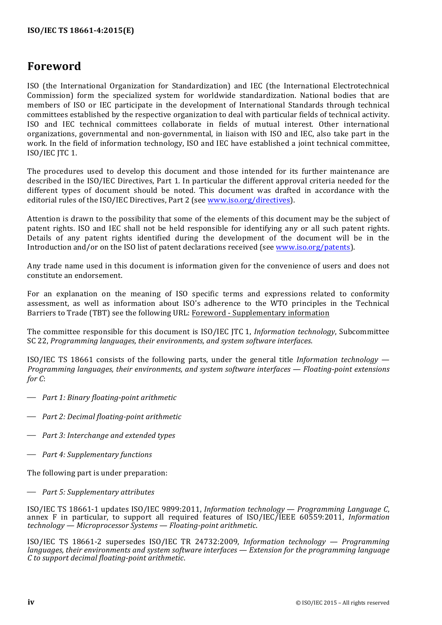# **Foreword**

ISO (the International Organization for Standardization) and IEC (the International Electrotechnical Commission) form the specialized system for worldwide standardization. National bodies that are members of ISO or IEC participate in the development of International Standards through technical committees established by the respective organization to deal with particular fields of technical activity. ISO and IEC technical committees collaborate in fields of mutual interest. Other international organizations, governmental and non-governmental, in liaison with ISO and IEC, also take part in the work. In the field of information technology, ISO and IEC have established a joint technical committee, ISO/IEC JTC 1.

The procedures used to develop this document and those intended for its further maintenance are described in the ISO/IEC Directives, Part 1. In particular the different approval criteria needed for the different types of document should be noted. This document was drafted in accordance with the editorial rules of the ISO/IEC Directives, Part 2 (see www.iso.org/directives).

Attention is drawn to the possibility that some of the elements of this document may be the subject of patent rights. ISO and IEC shall not be held responsible for identifying any or all such patent rights. Details of any patent rights identified during the development of the document will be in the Introduction and/or on the ISO list of patent declarations received (see www.iso.org/patents).

Any trade name used in this document is information given for the convenience of users and does not constitute an endorsement.

For an explanation on the meaning of ISO specific terms and expressions related to conformity assessment, as well as information about ISO's adherence to the WTO principles in the Technical Barriers to Trade (TBT) see the following URL: Foreword - Supplementary information

The committee responsible for this document is ISO/IEC JTC 1, *Information technology*, Subcommittee SC 22, *Programming languages, their environments, and system software interfaces.* 

ISO/IEC TS 18661 consists of the following parts, under the general title *Information technology — Programming languages, their environments, and system software interfaces — Floating-point extensions for C*:

- ⎯ *Part 1: Binary floating-point arithmetic*
- $\rightarrow$  *Part 2: Decimal floating-point arithmetic*
- $\rightarrow$  *Part 3: Interchange and extended types*
- ⎯ *Part 4: Supplementary functions*

The following part is under preparation:

⎯ *Part 5: Supplementary attributes*

ISO/IEC TS 18661-1 updates ISO/IEC 9899:2011, *Information technology — Programming Language C*, annex F in particular, to support all required features of ISO/IEC/IEEE 60559:2011, *Information technology — Microprocessor Systems — Floating-point arithmetic*.

ISO/IEC TS 18661-2 supersedes ISO/IEC TR 24732:2009, *Information technology — Programming languages, their environments and system software interfaces — Extension for the programming language C to support decimal floating-point arithmetic*.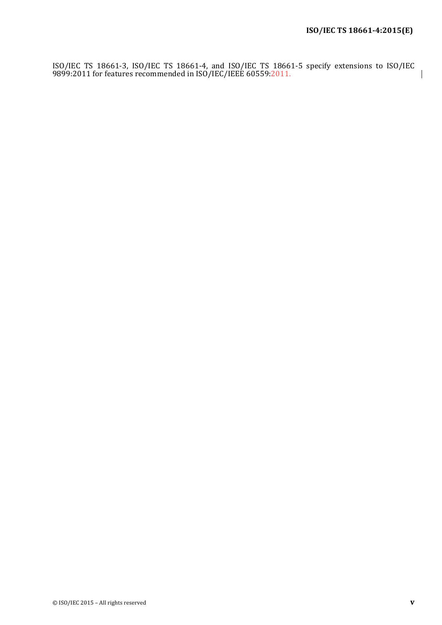$\overline{\phantom{a}}$ 

ISO/IEC TS 18661-3, ISO/IEC TS 18661-4, and ISO/IEC TS 18661-5 specify extensions to ISO/IEC 9899:2011 for features recommended in ISO/IEC/IEEE 60559:2011.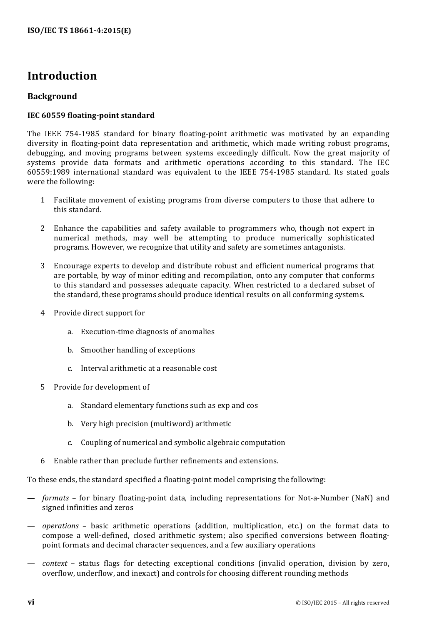# **Introduction**

## **Background**

#### **IEC 60559 floating-point standard**

The IEEE 754-1985 standard for binary floating-point arithmetic was motivated by an expanding diversity in floating-point data representation and arithmetic, which made writing robust programs, debugging, and moving programs between systems exceedingly difficult. Now the great majority of systems provide data formats and arithmetic operations according to this standard. The IEC 60559:1989 international standard was equivalent to the IEEE 754-1985 standard. Its stated goals were the following:

- 1 Facilitate movement of existing programs from diverse computers to those that adhere to this standard.
- 2 Enhance the capabilities and safety available to programmers who, though not expert in numerical methods, may well be attempting to produce numerically sophisticated programs. However, we recognize that utility and safety are sometimes antagonists.
- 3 Encourage experts to develop and distribute robust and efficient numerical programs that are portable, by way of minor editing and recompilation, onto any computer that conforms to this standard and possesses adequate capacity. When restricted to a declared subset of the standard, these programs should produce identical results on all conforming systems.
- 4 Provide direct support for
	- a. Execution-time diagnosis of anomalies
	- b. Smoother handling of exceptions
	- c. Interval arithmetic at a reasonable cost
- 5 Provide for development of
	- a. Standard elementary functions such as exp and cos
	- b. Very high precision (multiword) arithmetic
	- c. Coupling of numerical and symbolic algebraic computation
- $6$  Enable rather than preclude further refinements and extensions.

To these ends, the standard specified a floating-point model comprising the following:

- formats for binary floating-point data, including representations for Not-a-Number (NaN) and signed infinities and zeros
- operations basic arithmetic operations (addition, multiplication, etc.) on the format data to compose a well-defined, closed arithmetic system; also specified conversions between floatingpoint formats and decimal character sequences, and a few auxiliary operations
- *context* status flags for detecting exceptional conditions (invalid operation, division by zero, overflow, underflow, and inexact) and controls for choosing different rounding methods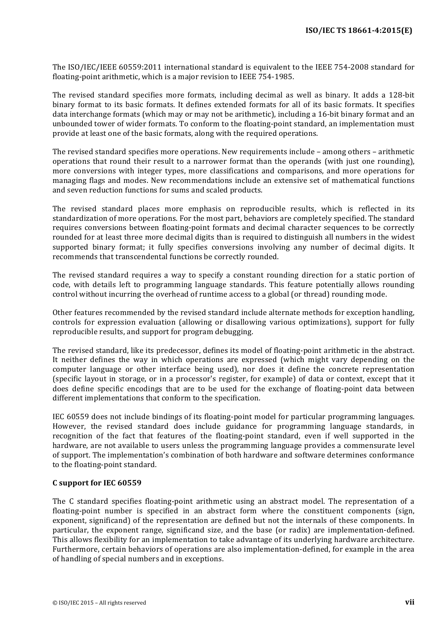The ISO/IEC/IEEE 60559:2011 international standard is equivalent to the IEEE 754-2008 standard for floating-point arithmetic, which is a major revision to IEEE 754-1985.

The revised standard specifies more formats, including decimal as well as binary. It adds a 128-bit binary format to its basic formats. It defines extended formats for all of its basic formats. It specifies data interchange formats (which may or may not be arithmetic), including a 16-bit binary format and an unbounded tower of wider formats. To conform to the floating-point standard, an implementation must provide at least one of the basic formats, along with the required operations.

The revised standard specifies more operations. New requirements include  $-$  among others  $-$  arithmetic operations that round their result to a narrower format than the operands (with just one rounding), more conversions with integer types, more classifications and comparisons, and more operations for managing flags and modes. New recommendations include an extensive set of mathematical functions and seven reduction functions for sums and scaled products.

The revised standard places more emphasis on reproducible results, which is reflected in its standardization of more operations. For the most part, behaviors are completely specified. The standard requires conversions between floating-point formats and decimal character sequences to be correctly rounded for at least three more decimal digits than is required to distinguish all numbers in the widest supported binary format; it fully specifies conversions involving any number of decimal digits. It recommends that transcendental functions be correctly rounded.

The revised standard requires a way to specify a constant rounding direction for a static portion of code, with details left to programming language standards. This feature potentially allows rounding control without incurring the overhead of runtime access to a global (or thread) rounding mode.

Other features recommended by the revised standard include alternate methods for exception handling, controls for expression evaluation (allowing or disallowing various optimizations), support for fully reproducible results, and support for program debugging.

The revised standard, like its predecessor, defines its model of floating-point arithmetic in the abstract. It neither defines the way in which operations are expressed (which might vary depending on the computer language or other interface being used), nor does it define the concrete representation (specific layout in storage, or in a processor's register, for example) of data or context, except that it does define specific encodings that are to be used for the exchange of floating-point data between different implementations that conform to the specification.

IEC 60559 does not include bindings of its floating-point model for particular programming languages. However, the revised standard does include guidance for programming language standards, in recognition of the fact that features of the floating-point standard, even if well supported in the hardware, are not available to users unless the programming language provides a commensurate level of support. The implementation's combination of both hardware and software determines conformance to the floating-point standard.

#### **C support for IEC 60559**

The C standard specifies floating-point arithmetic using an abstract model. The representation of a floating-point number is specified in an abstract form where the constituent components (sign, exponent, significand) of the representation are defined but not the internals of these components. In particular, the exponent range, significand size, and the base (or radix) are implementation-defined. This allows flexibility for an implementation to take advantage of its underlying hardware architecture. Furthermore, certain behaviors of operations are also implementation-defined, for example in the area of handling of special numbers and in exceptions.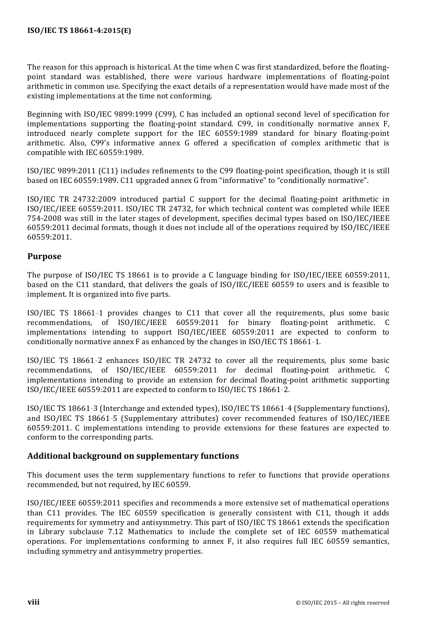The reason for this approach is historical. At the time when C was first standardized, before the floatingpoint standard was established, there were various hardware implementations of floating-point arithmetic in common use. Specifying the exact details of a representation would have made most of the existing implementations at the time not conforming.

Beginning with ISO/IEC 9899:1999 (C99), C has included an optional second level of specification for implementations supporting the floating-point standard. C99, in conditionally normative annex F, introduced nearly complete support for the IEC 60559:1989 standard for binary floating-point arithmetic. Also, C99's informative annex G offered a specification of complex arithmetic that is compatible with IEC 60559:1989.

ISO/IEC 9899:2011 (C11) includes refinements to the C99 floating-point specification, though it is still based on IEC 60559:1989. C11 upgraded annex G from "informative" to "conditionally normative".

ISO/IEC TR 24732:2009 introduced partial C support for the decimal floating-point arithmetic in ISO/IEC/IEEE 60559:2011. ISO/IEC TR 24732, for which technical content was completed while IEEE 754-2008 was still in the later stages of development, specifies decimal types based on ISO/IEC/IEEE 60559:2011 decimal formats, though it does not include all of the operations required by ISO/IEC/IEEE 60559:2011.

## **Purpose**

The purpose of  $ISO/IEC$  TS 18661 is to provide a C language binding for  $ISO/IEC/IEEE$  60559:2011, based on the C11 standard, that delivers the goals of ISO/IEC/IEEE 60559 to users and is feasible to implement. It is organized into five parts.

ISO/IEC TS 18661-1 provides changes to C11 that cover all the requirements, plus some basic recommendations, of ISO/IEC/IEEE 60559:2011 for binary floating-point arithmetic. C implementations intending to support ISO/IEC/IEEE 60559:2011 are expected to conform to conditionally normative annex  $F$  as enhanced by the changes in ISO/IEC TS 18661-1.

ISO/IEC TS 18661-2 enhances ISO/IEC TR 24732 to cover all the requirements, plus some basic recommendations, of ISO/IEC/IEEE 60559:2011 for decimal floating-point arithmetic. C implementations intending to provide an extension for decimal floating-point arithmetic supporting ISO/IEC/IEEE 60559:2011 are expected to conform to ISO/IEC TS 18661-2.

ISO/IEC TS 18661-3 (Interchange and extended types), ISO/IEC TS 18661-4 (Supplementary functions), and ISO/IEC TS 18661-5 (Supplementary attributes) cover recommended features of ISO/IEC/IEEE  $60559:2011$ . C implementations intending to provide extensions for these features are expected to conform to the corresponding parts.

#### **Additional background on supplementary functions**

This document uses the term supplementary functions to refer to functions that provide operations recommended, but not required, by IEC 60559.

ISO/IEC/IEEE 60559:2011 specifies and recommends a more extensive set of mathematical operations than  $C11$  provides. The IEC 60559 specification is generally consistent with  $C11$ , though it adds requirements for symmetry and antisymmetry. This part of ISO/IEC TS 18661 extends the specification in Library subclause 7.12 Mathematics to include the complete set of IEC 60559 mathematical operations. For implementations conforming to annex  $F$ , it also requires full IEC 60559 semantics, including symmetry and antisymmetry properties.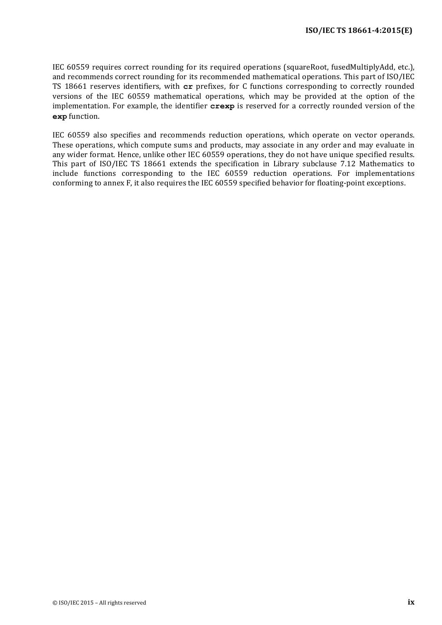IEC 60559 requires correct rounding for its required operations (squareRoot, fusedMultiplyAdd, etc.), and recommends correct rounding for its recommended mathematical operations. This part of ISO/IEC TS 18661 reserves identifiers, with  $cr$  prefixes, for C functions corresponding to correctly rounded versions of the IEC 60559 mathematical operations, which may be provided at the option of the implementation. For example, the identifier **crexp** is reserved for a correctly rounded version of the **exp** function.

IEC 60559 also specifies and recommends reduction operations, which operate on vector operands. These operations, which compute sums and products, may associate in any order and may evaluate in any wider format. Hence, unlike other IEC 60559 operations, they do not have unique specified results. This part of ISO/IEC TS 18661 extends the specification in Library subclause 7.12 Mathematics to include functions corresponding to the IEC 60559 reduction operations. For implementations conforming to annex F, it also requires the IEC 60559 specified behavior for floating-point exceptions.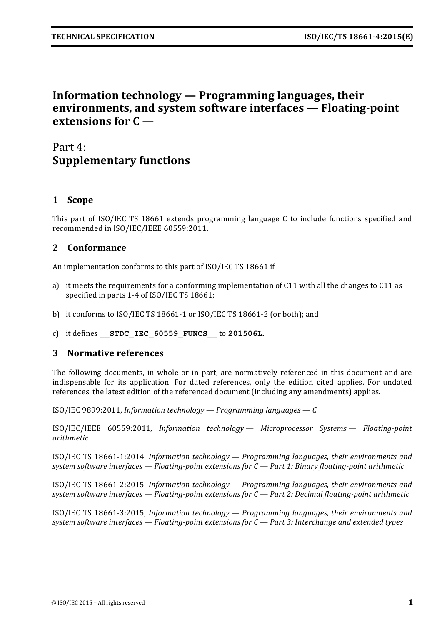# **Information technology — Programming languages, their environments, and system software interfaces — Floating-point extensions for C —**

# Part 4: **Supplementary functions**

# **1 Scope**

This part of ISO/IEC TS 18661 extends programming language C to include functions specified and recommended in ISO/IEC/IEEE 60559:2011.

# **2 Conformance**

An implementation conforms to this part of ISO/IEC TS 18661 if

- a) it meets the requirements for a conforming implementation of C11 with all the changes to C11 as specified in parts 1-4 of ISO/IEC TS 18661;
- b) it conforms to ISO/IEC TS 18661-1 or ISO/IEC TS 18661-2 (or both); and
- c) it defines **\_\_STDC\_IEC\_60559\_FUNCS\_\_** to **201506L.**

### **3** Normative references

The following documents, in whole or in part, are normatively referenced in this document and are indispensable for its application. For dated references, only the edition cited applies. For undated references, the latest edition of the referenced document (including any amendments) applies.

ISO/IEC 9899:2011, *Information technology — Programming languages — C*

ISO/IEC/IEEE 60559:2011, *Information technology — Microprocessor Systems — Floating-point arithmetic*

ISO/IEC TS 18661-1:2014, *Information technology — Programming languages, their environments and system software interfaces — Floating-point extensions for C — Part 1: Binary floating-point arithmetic*

ISO/IEC TS 18661-2:2015, *Information technology — Programming languages, their environments and system software interfaces* — *Floating-point extensions for C* — *Part 2: Decimal floating-point arithmetic* 

ISO/IEC TS 18661-3:2015, *Information technology* — *Programming languages, their environments and system software interfaces* — *Floating-point extensions for C* — *Part 3: Interchange and extended types*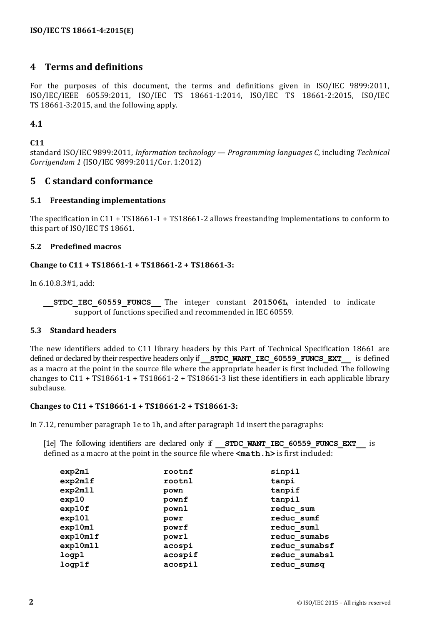# **4 Terms and definitions**

For the purposes of this document, the terms and definitions given in ISO/IEC 9899:2011, ISO/IEC/IEEE 60559:2011, ISO/IEC TS 18661-1:2014, ISO/IEC TS 18661-2:2015, ISO/IEC TS 18661-3:2015, and the following apply.

### **4.1**

#### **C11**

standard ISO/IEC 9899:2011, *Information technology — Programming languages C*, including *Technical Corrigendum 1* (ISO/IEC 9899:2011/Cor. 1:2012)

### **5 C standard conformance**

#### **5.1 Freestanding implementations**

The specification in C11 + TS18661-1 + TS18661-2 allows freestanding implementations to conform to this part of ISO/IEC TS 18661.

#### **5.2 Predefined macros**

#### Change to C11 + TS18661-1 + TS18661-2 + TS18661-3:

In 6.10.8.3#1, add:

**STDC IEC 60559 FUNCS** The integer constant **201506L**, intended to indicate support of functions specified and recommended in IEC 60559.

#### **5.3 Standard headers**

The new identifiers added to C11 library headers by this Part of Technical Specification 18661 are defined or declared by their respective headers only if **STDC WANT IEC 60559 FUNCS EXT** is defined as a macro at the point in the source file where the appropriate header is first included. The following changes to  $C11 + TS18661-1 + TS18661-2 + TS18661-3$  list these identifiers in each applicable library subclause.

#### Changes to C11 + TS18661-1 + TS18661-2 + TS18661-3:

In  $7.12$ , renumber paragraph 1e to 1h, and after paragraph 1d insert the paragraphs:

[1e] The following identifiers are declared only if **STDC WANT IEC 60559 FUNCS EXT** is defined as a macro at the point in the source file where  $\leq$  math.h> is first included:

| exp2m1   | rootnf  | sinpil        |
|----------|---------|---------------|
| exp2m1f  | rootnl  | tanpi         |
| exp2m11  | pown    | tanpif        |
| exp10    | pownf   | tanpil        |
| exp10f   | pownl   | reduc sum     |
| exp101   | powr    | reduc sumf    |
| exp10m1  | powrf   | reduc suml    |
| exp10m1f | powrl   | reduc sumabs  |
| exp10m11 | acospi  | reduc sumabsf |
| logp1    | acospif | reduc sumabsl |
| logp1f   | acospil | reduc sumsq   |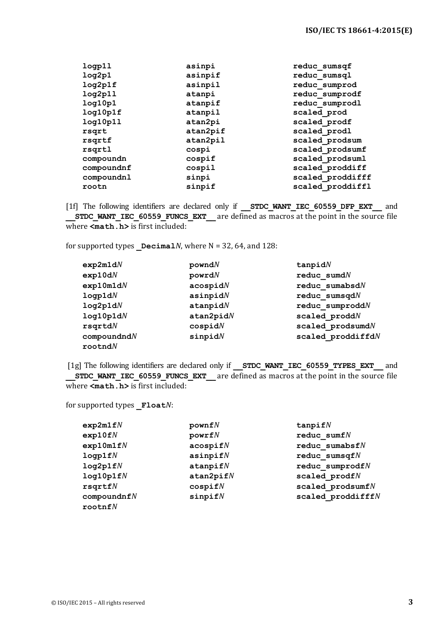| logp11     | asinpi   | reduc sumsqf     |
|------------|----------|------------------|
| log2p1     | asinpif  | reduc sumsql     |
| log2p1f    | asinpil  | reduc sumprod    |
| log2p11    | atanpi   | reduc sumprodf   |
| log10p1    | atanpif  | reduc sumprodl   |
| log10p1f   | atanpil  | scaled prod      |
| log10p11   | atan2pi  | scaled prodf     |
| rsqrt      | atan2pif | scaled prodl     |
| rsqrtf     | atan2pil | scaled prodsum   |
| rsqrtl     | cospi    | scaled prodsumf  |
| compoundn  | cospif   | scaled prodsuml  |
| compoundnf | cospil   | scaled proddiff  |
| compoundnl | sinpi    | scaled proddifff |
| rootn      | sinpif   | scaled proddiffl |
|            |          |                  |

[1f] The following identifiers are declared only if **\_\_STDC\_WANT\_IEC\_60559\_DFP\_EXT** and **STDC\_WANT\_IEC\_60559\_FUNCS\_EXT\_\_\_** are defined as macros at the point in the source file where  $\overline{\mathsf{c}}$  **math.h**> is first included:

for supported types  $DecimalN$ , where  $N = 32, 64$ , and 128:

| exp2m1dN    | powndN     | $t$ anpid $N$        |
|-------------|------------|----------------------|
| exp10dN     | powr dN    | reduc sumdN          |
| exp10m1dN   | acospidN   | reduc sumabsd $N$    |
| logp1dN     | asinpidN   | reduc sumsqdN        |
| log2p1dN    | at a npidN | $reduc$ sumprodd $N$ |
| log10p1dN   | atan2pidN  | scaled proddN        |
| rsqrtdN     | cospidN    | scaled prodsumdN     |
| compoundndN | sinpidN    | scaled proddiffdN    |
| rootndN     |            |                      |

[1g] The following identifiers are declared only if **STDC WANT IEC 60559 TYPES EXT** and **STDC WANT IEC 60559 FUNCS EXT** are defined as macros at the point in the source file where  $\overline{\mathsf{c}}$  **math.h**> is first included:

for supported types **Float***N*:

| exp2m1fN    | pownfN           | $t$ anpif $N$               |
|-------------|------------------|-----------------------------|
| exp10fN     | powerfN          | reduc sumf $N$              |
| exp10m1fN   | $\frac{1}{2}$    | reduc sumabsf $N$           |
| logp1fN     | asinpifN         | reduc sumsqf $N$            |
| log2p1fN    | at <i>appifN</i> | $reduc$ sumprodf $N$        |
| log10p1fN   | atan2pifN        | scaled $prodfN$             |
| rsqrtfN     | cospi fN         | scaled $\texttt{prodsumf}N$ |
| compoundnfN | $s$ inpif $N$    | scaled $productffN$         |
| rootnfN     |                  |                             |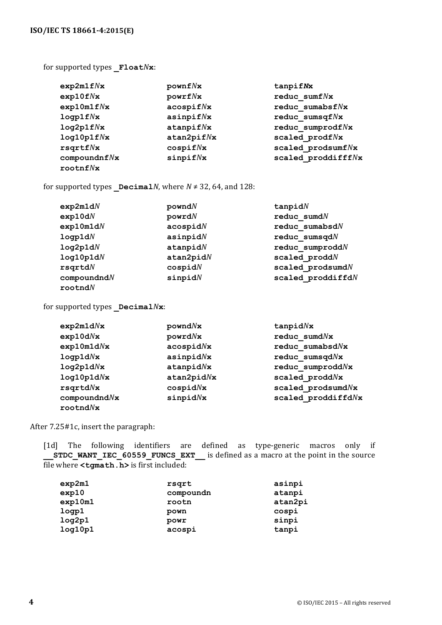for supported types **Float***N***x**:

| exp2m1fNx        | pownf Nx        | tanpifNx            |
|------------------|-----------------|---------------------|
| $exp10f\sqrt{x}$ | powerf/x        | reduc sum $f N x$   |
| exp10m1fNx       | acospifNx       | reduc sumabsf $N$ x |
| logp1f Nx        | asinpif/Nx      | reduc sumsqf $N$ x  |
| log2p1fNx        | $at$ apif $N$ x | reduc sumprodfNx    |
| log10p1fNx       | atan2pif/Nx     | scaled prodfNx      |
| rsqrtfNx         | cospif Nx       | scaled prodsumfNx   |
| compoundnf Nx    | $s$ inpif $N$ x | scaled proddifffNx  |
| rootnfNx         |                 |                     |

for supported types  $\Delta M$ , where  $N \neq 32$ , 64, and 128:

| exp2m1dN  | powndN       | $t$ anpid $N$               |
|-----------|--------------|-----------------------------|
| exp10dN   | powrdN       | $reduc$ sumd $N$            |
| exp10m1dN | acospidN     | reduc sumabsdN              |
| logp1dN   | asinpidN     | reduc sumsqdN               |
| log2p1dN  | at a rapid N | $reduc$ sumprodd $N$        |
| log10p1dN | atan2pidN    | scaled proddN               |
| rsqrtdN   | cospidN      | scaled $\texttt{prodsumdN}$ |
| compoundM | sinpidN      | scaled proddiffdN           |
| rootndN   |              |                             |

for supported types **Decimal** $N$ **x**:

| exp2m1dNx    | powndNx        | $t$ anpid $N$ x     |
|--------------|----------------|---------------------|
| exp10dNx     | powr dNx       | reduc sumdNx        |
| exp10m1dNx   | acospidNx      | reduc sumabsd $N$ x |
| logp1dNx     | asinpidNx      | reduc sumsqdNx      |
| log2p1dNx    | at a npid Nx   | reduc sumproddNx    |
| log10p1dNx   | atan2pidNx     | scaled proddNx      |
| rsqrtdNx     | cospidNx       | scaled prodsumdNx   |
| compoundndNx | $s$ inpid $Nx$ | scaled proddiffdNx  |
| rootndNx     |                |                     |

After 7.25#1c, insert the paragraph:

[1d] The following identifiers are defined as type-generic macros only if **\_\_STDC\_WANT\_IEC\_60559\_FUNCS\_EXT\_\_** is defined as a macro at the point in the source file where **<tgmath.h>** is first included:

| exp2m1  | rsqrt     | asinpi  |
|---------|-----------|---------|
| exp10   | compoundn | atanpi  |
| exp10m1 | rootn     | atan2pi |
| logp1   | pown      | cospi   |
| log2p1  | powr      | sinpi   |
| log10p1 | acospi    | tanpi   |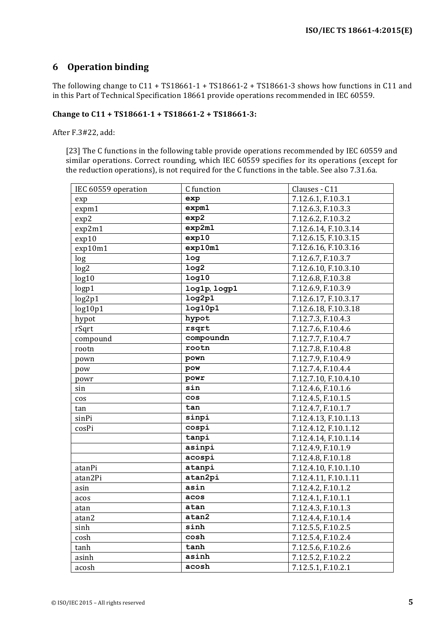# **6 Operation binding**

The following change to  $C11 + TS18661-1 + TS18661-2 + TS18661-3$  shows how functions in  $C11$  and in this Part of Technical Specification 18661 provide operations recommended in IEC 60559.

#### Change to C11 + TS18661-1 + TS18661-2 + TS18661-3:

After F.3#22, add:

[23] The C functions in the following table provide operations recommended by IEC 60559 and similar operations. Correct rounding, which IEC 60559 specifies for its operations (except for the reduction operations), is not required for the C functions in the table. See also 7.31.6a.

| IEC 60559 operation | C function        | Clauses - C11        |
|---------------------|-------------------|----------------------|
| exp                 | exp               | 7.12.6.1, F.10.3.1   |
| expm1               | exp <sub>m1</sub> | 7.12.6.3, F.10.3.3   |
| exp2                | exp2              | 7.12.6.2, F.10.3.2   |
| exp2m1              | exp2m1            | 7.12.6.14, F.10.3.14 |
| exp10               | exp10             | 7.12.6.15, F.10.3.15 |
| exp10m1             | exp10m1           | 7.12.6.16, F.10.3.16 |
| log                 | log               | 7.12.6.7, F.10.3.7   |
| log2                | log <sub>2</sub>  | 7.12.6.10, F.10.3.10 |
| log10               | log10             | 7.12.6.8, F.10.3.8   |
| logp1               | log1p, logp1      | 7.12.6.9, F.10.3.9   |
| log2p1              | log2p1            | 7.12.6.17, F.10.3.17 |
| log10p1             | log10p1           | 7.12.6.18, F.10.3.18 |
| hypot               | hypot             | 7.12.7.3, F.10.4.3   |
| rSqrt               | rsqrt             | 7.12.7.6, F.10.4.6   |
| compound            | compoundn         | 7.12.7.7, F.10.4.7   |
| rootn               | rootn             | 7.12.7.8, F.10.4.8   |
| pown                | pown              | 7.12.7.9, F.10.4.9   |
| pow                 | pow               | 7.12.7.4, F.10.4.4   |
| powr                | powr              | 7.12.7.10, F.10.4.10 |
| sin                 | sin               | 7.12.4.6, F.10.1.6   |
| $\cos$              | <b>COS</b>        | 7.12.4.5, F.10.1.5   |
| tan                 | tan               | 7.12.4.7, F.10.1.7   |
| sinPi               | sinpi             | 7.12.4.13, F.10.1.13 |
| cosPi               | cospi             | 7.12.4.12, F.10.1.12 |
|                     | tanpi             | 7.12.4.14, F.10.1.14 |
|                     | asinpi            | 7.12.4.9, F.10.1.9   |
|                     | acospi            | 7.12.4.8, F.10.1.8   |
| atanPi              | atanpi            | 7.12.4.10, F.10.1.10 |
| atan2Pi             | atan2pi           | 7.12.4.11, F.10.1.11 |
| asin                | asin              | 7.12.4.2, F.10.1.2   |
| acos                | acos              | 7.12.4.1, F.10.1.1   |
| atan                | atan              | 7.12.4.3, F.10.1.3   |
| atan2               | atan2             | 7.12.4.4, F.10.1.4   |
| sinh                | sinh              | 7.12.5.5, F.10.2.5   |
| cosh                | cosh              | 7.12.5.4, F.10.2.4   |
| tanh                | tanh              | 7.12.5.6, F.10.2.6   |
| asinh               | asinh             | 7.12.5.2, F.10.2.2   |
| acosh               | acosh             | 7.12.5.1, F.10.2.1   |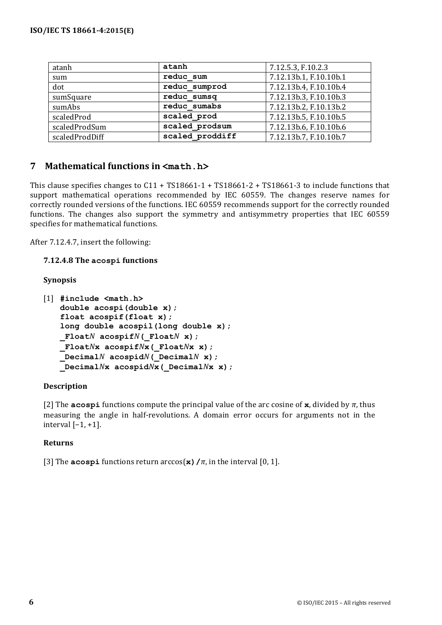| atanh          | atanh           | 7.12.5.3, F.10.2.3     |
|----------------|-----------------|------------------------|
| sum            | reduc sum       | 7.12.13b.1, F.10.10b.1 |
| dot            | reduc sumprod   | 7.12.13b.4, F.10.10b.4 |
| sumSquare      | reduc sumsq     | 7.12.13b.3, F.10.10b.3 |
| sumAbs         | reduc sumabs    | 7.12.13b.2, F.10.13b.2 |
| scaledProd     | scaled prod     | 7.12.13b.5, F.10.10b.5 |
| scaledProdSum  | scaled prodsum  | 7.12.13b.6, F.10.10b.6 |
| scaledProdDiff | scaled proddiff | 7.12.13b.7, F.10.10b.7 |

# **7 Mathematical functions in <math.h>**

This clause specifies changes to  $C11 + TS18661-1 + TS18661-2 + TS18661-3$  to include functions that support mathematical operations recommended by IEC 60559. The changes reserve names for correctly rounded versions of the functions. IEC 60559 recommends support for the correctly rounded functions. The changes also support the symmetry and antisymmetry properties that IEC 60559 specifies for mathematical functions.

After 7.12.4.7, insert the following:

**7.12.4.8 The acospi functions**

#### **Synopsis**

```
[1] #include <math.h>
   double acospi(double x);
   float acospif(float x);
   long double acospil(long double x);
   _FloatN acospifN(_FloatN x);
   _FloatNx acospifNx(_FloatNx x);
   _DecimalN acospidN(_DecimalN x);
   _DecimalNx acospidNx(_DecimalNx x);
```
#### **Description**

[2] The **acospi** functions compute the principal value of the arc cosine of **x**, divided by  $\pi$ , thus measuring the angle in half-revolutions. A domain error occurs for arguments not in the interval  $[-1, +1]$ .

#### **Returns**

[3] The **acospi** functions return  $arccos(\mathbf{x})/\pi$ , in the interval [0, 1].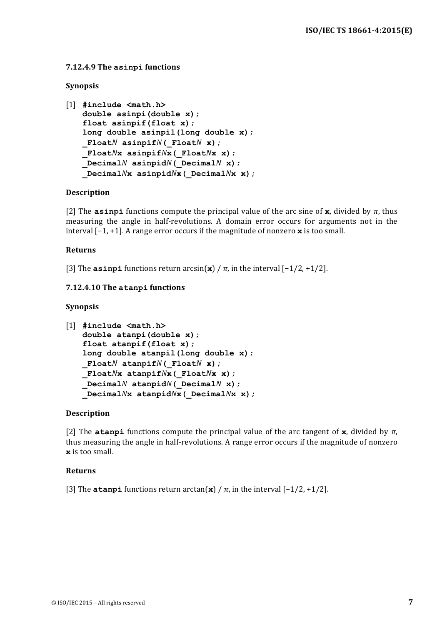#### **7.12.4.9 The asinpi functions**

#### **Synopsis**

```
[1] #include <math.h>
   double asinpi(double x);
   float asinpif(float x);
   long double asinpil(long double x);
   _FloatN asinpifN(_FloatN x);
   _FloatNx asinpifNx(_FloatNx x);
   _DecimalN asinpidN(_DecimalN x);
   _DecimalNx asinpidNx(_DecimalNx x);
```
#### **Description**

[2] The **asinpi** functions compute the principal value of the arc sine of **x**, divided by  $\pi$ , thus measuring the angle in half-revolutions. A domain error occurs for arguments not in the interval  $[-1, +1]$ . A range error occurs if the magnitude of nonzero **x** is too small.

#### **Returns**

[3] The **asinpi** functions return  $arcsin(\mathbf{x}) / \pi$ , in the interval  $[-1/2, +1/2]$ .

#### **7.12.4.10 The atanpi functions**

#### **Synopsis**

```
[1] #include <math.h>
   double atanpi(double x);
   float atanpif(float x);
   long double atanpil(long double x);
   _FloatN atanpifN(_FloatN x);
   _FloatNx atanpifNx(_FloatNx x);
   _DecimalN atanpidN(_DecimalN x);
   _DecimalNx atanpidNx(_DecimalNx x);
```
#### **Description**

[2] The **atanpi** functions compute the principal value of the arc tangent of **x**, divided by  $\pi$ , thus measuring the angle in half-revolutions. A range error occurs if the magnitude of nonzero **x** is too small.

#### **Returns**

[3] The **atanpi** functions return  $arctan(\mathbf{x}) / \pi$ , in the interval  $[-1/2, +1/2]$ .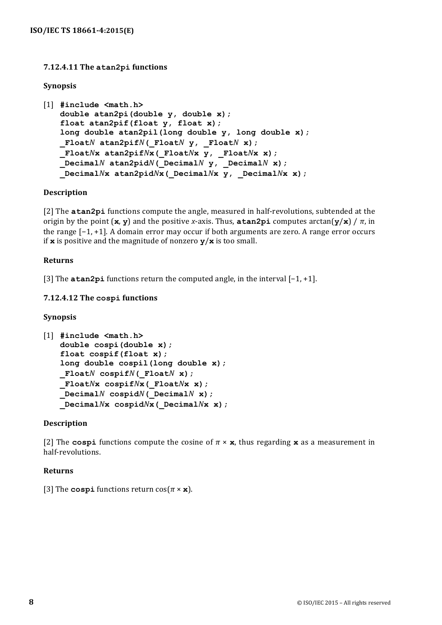### **7.12.4.11 The atan2pi functions**

#### **Synopsis**

```
[1] #include <math.h>
   double atan2pi(double y, double x);
   float atan2pif(float y, float x);
   long double atan2pil(long double y, long double x);
   FloatN atan2pifN( FloatN \mathbf{y}, FloatN x);
   _FloatNx atan2pifNx(_FloatNx y, _FloatNx x);
   _DecimalN atan2pidN(_DecimalN y, _DecimalN x);
   _DecimalNx atan2pidNx(_DecimalNx y, _DecimalNx x);
```
#### **Description**

[2] The **atan2pi** functions compute the angle, measured in half-revolutions, subtended at the origin by the point  $(\mathbf{x}, \mathbf{y})$  and the positive *x*-axis. Thus, **atan2pi** computes arctan $(\mathbf{y}/\mathbf{x})$  /  $\pi$ , in the range  $[-1, +1]$ . A domain error may occur if both arguments are zero. A range error occurs if **x** is positive and the magnitude of nonzero  $\mathbf{y}/\mathbf{x}$  is too small.

#### **Returns**

[3] The **atan2pi** functions return the computed angle, in the interval [−1, +1].

#### **7.12.4.12 The cospi functions**

#### **Synopsis**

```
[1] #include <math.h>
   double cospi(double x);
   float cospif(float x);
   long double cospil(long double x);
   _FloatN cospifN(_FloatN x);
   _FloatNx cospifNx(_FloatNx x);
   DecimalN cospidN( DecimalNx);
   _DecimalNx cospidNx(_DecimalNx x);
```
#### **Description**

[2] The **cospi** functions compute the cosine of  $\pi \times \mathbf{x}$ , thus regarding  $\mathbf{x}$  as a measurement in half-revolutions.

#### **Returns**

[3] The **cospi** functions return  $\cos(\pi \times \mathbf{x})$ .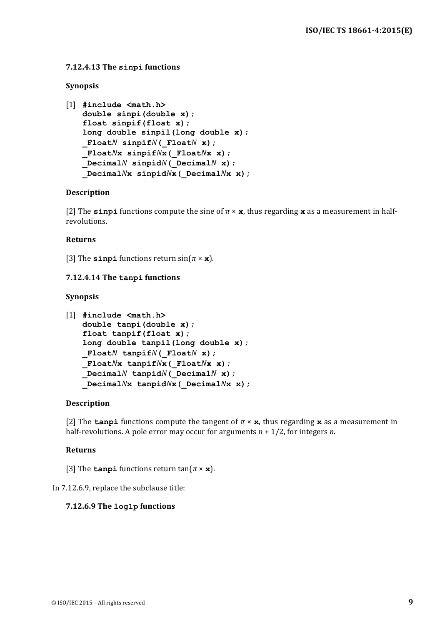#### **7.12.4.13 The sinpi functions**

#### **Synopsis**

```
[1] #include <math.h>
   double sinpi(double x);
   float sinpif(float x);
   long double sinpil(long double x);
   _FloatN sinpifN(_FloatN x);
   _FloatNx sinpifNx(_FloatNx x);
   _DecimalN sinpidN(_DecimalN x);
   _DecimalNx sinpidNx(_DecimalNx x);
```
#### **Description**

[2] The **sinpi** functions compute the sine of  $\pi \times \mathbf{x}$ , thus regarding x as a measurement in halfrevolutions.

#### **Returns**

[3] The **sinpi** functions return  $\sin(\pi \times \mathbf{x})$ .

#### **7.12.4.14 The tanpi functions**

#### **Synopsis**

```
[1] #include <math.h>
   double tanpi(double x);
   float tanpif(float x);
   long double tanpil(long double x);
   _FloatN tanpifN(_FloatN x);
   _FloatNx tanpifNx(_FloatNx x);
   _DecimalN tanpidN(_DecimalN x);
   _DecimalNx tanpidNx(_DecimalNx x);
```
#### **Description**

[2] The **tanpi** functions compute the tangent of  $\pi \times \mathbf{x}$ , thus regarding  $\mathbf{x}$  as a measurement in half-revolutions. A pole error may occur for arguments  $n + \frac{1}{2}$ , for integers *n*.

#### **Returns**

[3] The **tanpi** functions return  $\tan(\pi \times \mathbf{x})$ .

In 7.12.6.9, replace the subclause title:

#### **7.12.6.9 The log1p functions**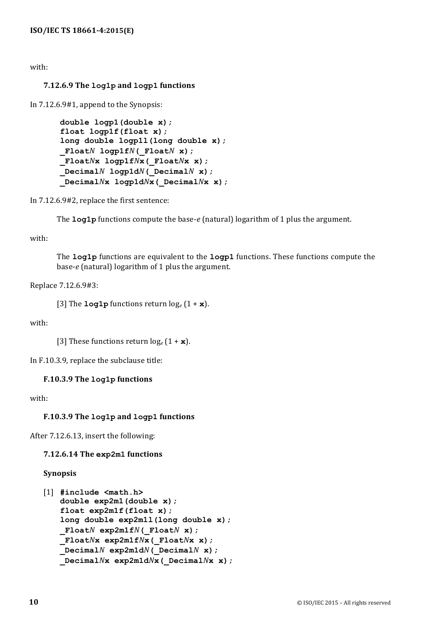### with:

### **7.12.6.9 The log1p and logp1 functions**

In 7.12.6.9#1, append to the Synopsis:

```
double logp1(double x);
float logp1f(float x);
long double logp1l(long double x);
FloatN logp1fN(FloatN x);
_FloatNx logp1fNx(_FloatNx x);
_DecimalN logp1dN(_DecimalN x);
_DecimalNx logp1dNx(_DecimalNx x);
```
In  $7.12.6.9\text{\#}2$ , replace the first sentence:

The **log1p** functions compute the base-*e* (natural) logarithm of 1 plus the argument.

#### with:

The **log1p** functions are equivalent to the **logp1** functions. These functions compute the base-*e* (natural) logarithm of 1 plus the argument.

Replace 7.12.6.9#3:

[3] The  $\text{log1p}$  functions return  $\log_e(1 + \mathbf{x})$ .

with:

[3] These functions return  $log_e(1 + x)$ .

In F.10.3.9, replace the subclause title:

#### **F.10.3.9 The log1p functions**

with:

#### **F.10.3.9 The log1p and logp1 functions**

After 7.12.6.13, insert the following:

#### **7.12.6.14 The exp2m1 functions**

#### **Synopsis**

```
[1] #include <math.h>
   double exp2m1(double x);
   float exp2m1f(float x);
   long double exp2m1l(long double x);
   FloatN exp2m1fN( FloatN x);
   _FloatNx exp2m1fNx(_FloatNx x);
   DecimalN exp2m1dN (DecimalNx);
   _DecimalNx exp2m1dNx(_DecimalNx x);
```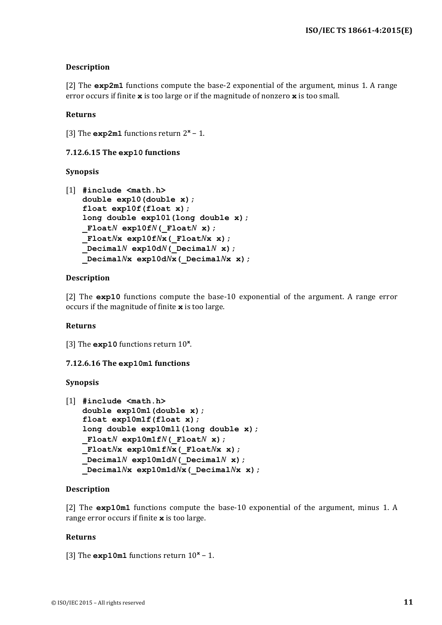### **Description**

[2] The  $exp2m1$  functions compute the base-2 exponential of the argument, minus 1. A range error occurs if finite  $\mathbf x$  is too large or if the magnitude of nonzero  $\mathbf x$  is too small.

#### **Returns**

[3] The  $exp2m1$  functions return  $2<sup>x</sup> - 1$ .

#### **7.12.6.15 The exp10 functions**

#### **Synopsis**

```
[1] #include <math.h>
   double exp10(double x);
   float exp10f(float x);
   long double exp10l(long double x);
   _FloatN exp10fN(_FloatN x);
   _FloatNx exp10fNx(_FloatNx x);
   DecimalN exp10dN (DecimalNx);
   _DecimalNx exp10dNx(_DecimalNx x);
```
#### **Description**

[2] The **exp10** functions compute the base-10 exponential of the argument. A range error occurs if the magnitude of finite **x** is too large.

#### **Returns**

[3] The **exp10** functions return 10<sup>x</sup>.

#### **7.12.6.16 The exp10m1 functions**

**Synopsis**

```
[1] #include <math.h>
   double exp10m1(double x);
   float exp10m1f(float x);
   long double exp10m1l(long double x);
   _FloatN exp10m1fN(_FloatN x);
   _FloatNx exp10m1fNx(_FloatNx x);
   DecimalN exp10m1dN( DecimalNx);
   _DecimalNx exp10m1dNx(_DecimalNx x);
```
#### **Description**

[2] The **exp10m1** functions compute the base-10 exponential of the argument, minus 1. A range error occurs if finite **x** is too large.

#### **Returns**

[3] The **exp10m1** functions return  $10<sup>x</sup>$  − 1.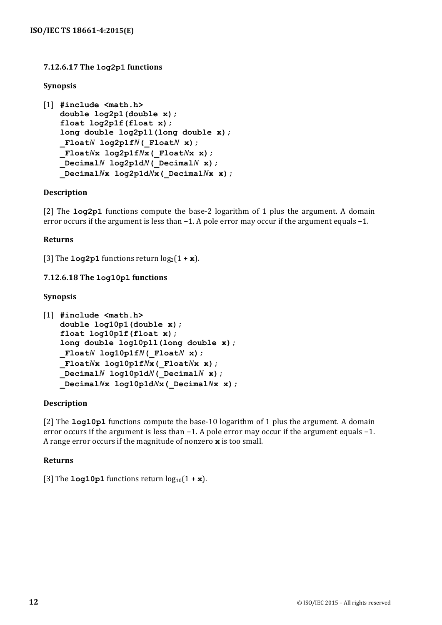### **7.12.6.17 The log2p1 functions**

#### **Synopsis**

```
[1] #include <math.h>
   double log2p1(double x);
   float log2p1f(float x);
   long double log2p1l(long double x);
   _FloatN log2p1fN(_FloatN x);
   _FloatNx log2p1fNx(_FloatNx x);
   _DecimalN log2p1dN(_DecimalN x);
   _DecimalNx log2p1dNx(_DecimalNx x);
```
#### **Description**

[2] The **log2p1** functions compute the base-2 logarithm of 1 plus the argument. A domain error occurs if the argument is less than  $-1$ . A pole error may occur if the argument equals  $-1$ .

#### **Returns**

[3] The  $\text{Log2p1}$  functions return  $\log_2(1 + \mathbf{x})$ .

#### **7.12.6.18 The log10p1 functions**

#### **Synopsis**

```
[1] #include <math.h>
   double log10p1(double x);
   float log10p1f(float x);
   long double log10p1l(long double x);
   _FloatN log10p1fN(_FloatN x);
   _FloatNx log10p1fNx(_FloatNx x);
   DecimalN log10p1dN (DecimalN x);
   _DecimalNx log10p1dNx(_DecimalNx x);
```
#### **Description**

[2] The **log10p1** functions compute the base-10 logarithm of 1 plus the argument. A domain error occurs if the argument is less than  $-1$ . A pole error may occur if the argument equals  $-1$ . A range error occurs if the magnitude of nonzero **x** is too small.

#### **Returns**

```
[3] The \text{log10p1} functions return \log_{10}(1 + \mathbf{x}).
```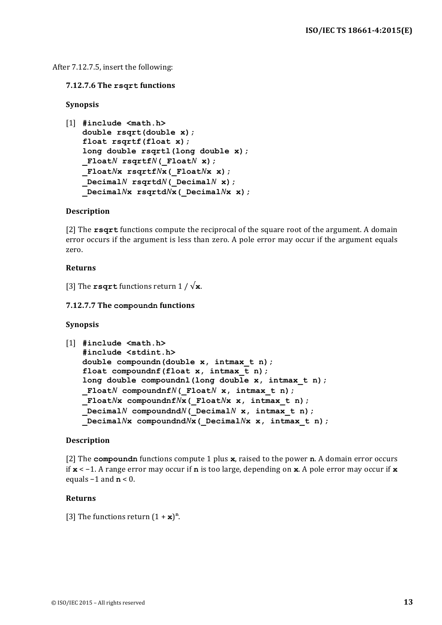#### After 7.12.7.5, insert the following:

#### **7.12.7.6 The rsqrt functions**

#### **Synopsis**

```
[1] #include <math.h>
   double rsqrt(double x);
   float rsqrtf(float x);
   long double rsqrtl(long double x);
   FloatN rsqrtfN( FloatN x);
   _FloatNx rsqrtfNx(_FloatNx x);
   _DecimalN rsqrtdN(_DecimalN x);
   _DecimalNx rsqrtdNx(_DecimalNx x);
```
#### **Description**

[2] The **rsqrt** functions compute the reciprocal of the square root of the argument. A domain error occurs if the argument is less than zero. A pole error may occur if the argument equals zero. 

#### **Returns**

[3] The **rsqrt** functions return  $1/\sqrt{\mathbf{x}}$ .

#### **7.12.7.7** The compoundn functions

#### **Synopsis**

```
[1] #include <math.h>
   #include <stdint.h>
   double compoundn(double x, intmax_t n);
   float compoundnf(float x, intmax_t n);
   long double compoundnl(long double x, intmax_t n);
   _FloatN compoundnfN(_FloatN x, intmax_t n);
   _FloatNx compoundnfNx(_FloatNx x, intmax_t n);
   _DecimalN compoundndN(_DecimalN x, intmax_t n);
   _DecimalNx compoundndNx(_DecimalNx x, intmax_t n);
```
#### **Description**

[2] The **compoundn** functions compute 1 plus **x**, raised to the power **n**. A domain error occurs if **x** < −1. A range error may occur if **n** is too large, depending on **x**. A pole error may occur if **x** equals  $-1$  and  $n < 0$ .

#### **Returns**

[3] The functions return  $(1 + \mathbf{x})^n$ .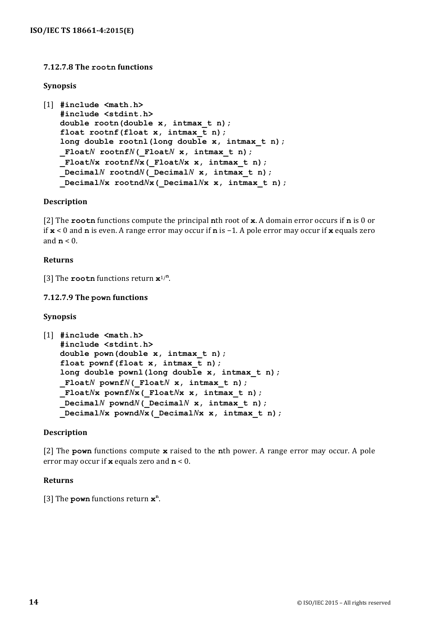#### **7.12.7.8 The rootn functions**

#### **Synopsis**

```
[1] #include <math.h>
   #include <stdint.h>
   double rootn(double x, intmax_t n);
   float rootnf(float x, intmax_t n);
   long double rootnl(long double x, intmax_t n);
   _FloatN rootnfN(_FloatN x, intmax_t n);
   _FloatNx rootnfNx(_FloatNx x, intmax_t n);
   DecimalN rootnd<sup>N</sup> ( DecimalN x, intmax t n);
   _DecimalNx rootndNx(_DecimalNx x, intmax_t n);
```
#### **Description**

[2] The **rootn** functions compute the principal **n**th root of  $\bf{x}$ . A domain error occurs if **n** is 0 or if **x** < 0 and **n** is even. A range error may occur if **n** is -1. A pole error may occur if **x** equals zero and  $\mathbf{n}$  < 0.

#### **Returns**

[3] The **rootn** functions return  $x^{1/n}$ .

#### **7.12.7.9 The pown functions**

#### **Synopsis**

```
[1] #include <math.h>
   #include <stdint.h>
   double pown(double x, intmax_t n);
   float pownf(float x, intmax_t n);
   long double pownl(long double x, intmax_t n);
   _FloatN pownfN(_FloatN x, intmax_t n);
   _FloatNx pownfNx(_FloatNx x, intmax_t n);
    _DecimalN powndN(_DecimalN x, intmax_t n);
   _DecimalNx powndNx(_DecimalNx x, intmax_t n);
```
#### **Description**

[2] The **pown** functions compute **x** raised to the **n**th power. A range error may occur. A pole error may occur if **x** equals zero and  $n < 0$ .

#### **Returns**

[3] The **pown** functions return  $\mathbf{x}^n$ .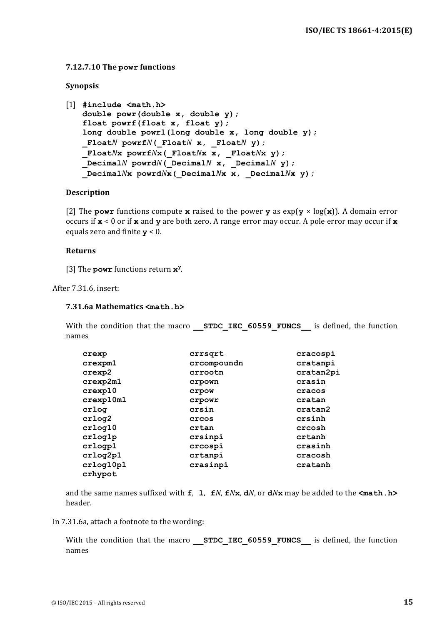#### **7.12.7.10 The powr functions**

#### **Synopsis**

```
[1] #include <math.h>
   double powr(double x, double y);
   float powrf(float x, float y);
   long double powrl(long double x, long double y);
   FloatN powrfN( FloatN x, FloatN y);
   _FloatNx powrfNx(_FloatNx x, _FloatNx y);
   _DecimalN powrdN(_DecimalN x, _DecimalN y);
   _DecimalNx powrdNx(_DecimalNx x, _DecimalNx y);
```
#### **Description**

[2] The **powr** functions compute **x** raised to the power **y** as  $exp(y \times log(x))$ . A domain error occurs if  $\mathbf{x}$  < 0 or if  $\mathbf{x}$  and  $\mathbf{y}$  are both zero. A range error may occur. A pole error may occur if  $\mathbf{x}$ equals zero and finite  $y < 0$ .

#### **Returns**

[3] The **powr** functions return **x**<sup>y</sup>.

After 7.31.6, insert:

#### **7.31.6a Mathematics <math.h>**

With the condition that the macro **STDC IEC 60559 FUNCS** is defined, the function names

| crexp                | crrsqrt     | cracospi  |
|----------------------|-------------|-----------|
| crexpm1              | crcompoundn | cratanpi  |
| crexp2               | crrootn     | cratan2pi |
| crexp2m1             | crpown      | crasin    |
| crexp10              | crpow       | cracos    |
| crexp10m1            | crpowr      | cratan    |
| crlog                | crsin       | cratan2   |
| crlog2               | crcos       | crsinh    |
| crlog10              | crtan       | crcosh    |
| crlog1p              | crsinpi     | crtanh    |
| crlogp1              | crcospi     | crasinh   |
| crlog2p1             | crtanpi     | cracosh   |
| crlog10p1<br>crhypot | crasinpi    | cratanh   |

and the same names suffixed with  $f$ , **l**,  $f$ *N*,  $f$ *N***x**, **d***N*, or **d***N***x** may be added to the  $\text{<}$ math.h> header.

In 7.31.6a, attach a footnote to the wording:

With the condition that the macro **STDC IEC 60559 FUNCS** is defined, the function names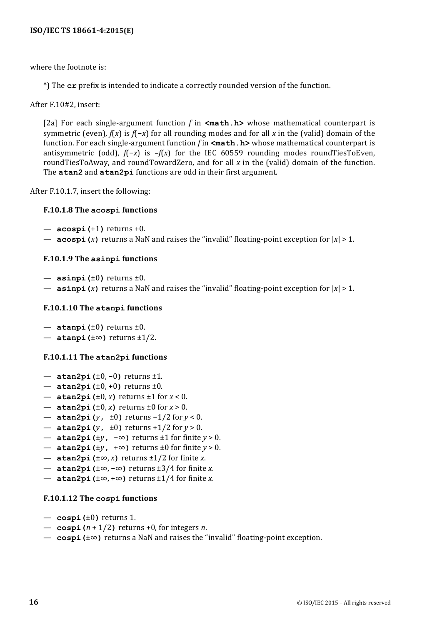#### **ISO/IEC TS 18661-4:2015(E)**

where the footnote is:

\*) The **cr** prefix is intended to indicate a correctly rounded version of the function.

After F.10#2, insert:

[2a] For each single-argument function  $f$  in  $\mathsf{ $math.h\mathsf{>}}$  whose mathematical counterpart is$ symmetric (even), *f*(*x*) is *f*(−*x*) for all rounding modes and for all *x* in the (valid) domain of the function. For each single-argument function *f* in  $\forall$ **math. h>** whose mathematical counterpart is antisymmetric (odd), *f*(−*x*) is –*f*(*x*) for the IEC 60559 rounding modes roundTiesToEven, roundTiesToAway, and roundTowardZero, and for all x in the (valid) domain of the function. The **atan2** and **atan2pi** functions are odd in their first argument.

After F.10.1.7, insert the following:

#### **F.10.1.8 The acospi functions**

- $-$  **acospi (+1)** returns  $+0$ .
- **acospi** (*x*) returns a NaN and raises the "invalid" floating-point exception for  $|x| > 1$ .

#### **F.10.1.9 The asinpi functions**

- $-$  **asinpi** ( $\pm 0$ ) returns  $\pm 0$ .
- **asinpi** (*x*) returns a NaN and raises the "invalid" floating-point exception for  $|x| > 1$ .

#### **F.10.1.10 The atanpi functions**

- $-$  **atanpi** ( $\pm 0$ ) returns  $\pm 0$ .
- **atanpi(**±∞**)** returns ±1/2.

#### **F.10.1.11 The atan2pi functions**

- **atan2pi(**±0, −0**)** returns ±1.
- $-$  **atan2pi** ( $\pm 0, \pm 0$ ) returns  $\pm 0$ .
- $-$  **atan2pi** ( $\pm 0$ , *x*) returns  $\pm 1$  for  $x < 0$ .
- $-$  **atan2pi** ( $\pm 0$ , *x*) returns  $\pm 0$  for  $x > 0$ .
- **atan2pi(***y***,** ±0**)** returns −1/2 for *y* < 0.
- $-$  **atan2pi(***y*,  $\pm 0$ ) returns  $+1/2$  for  $y > 0$ .
- **atan2pi(**±*y***,** −∞**)** returns ±1 for finite *y* > 0.
- **atan2pi** ( $\pm y$ ,  $+\infty$ ) returns  $\pm 0$  for finite *y* > 0.
- **atan2pi(**±∞, *x***)** returns ±1/2 for finite *x*.
- **atan2pi(**±∞, −∞**)** returns ±3/4 for finite *x*.
- **atan2pi** ( $\pm \infty$ ,  $+\infty$ ) returns  $\pm 1/4$  for finite *x*.

#### **F.10.1.12 The cospi functions**

- $-$  **cospi** ( $\pm 0$ ) returns 1.
- $-$  **cospi** ( $n + 1/2$ ) returns +0, for integers  $n$ .
- **cospi (**±∞) returns a NaN and raises the "invalid" floating-point exception.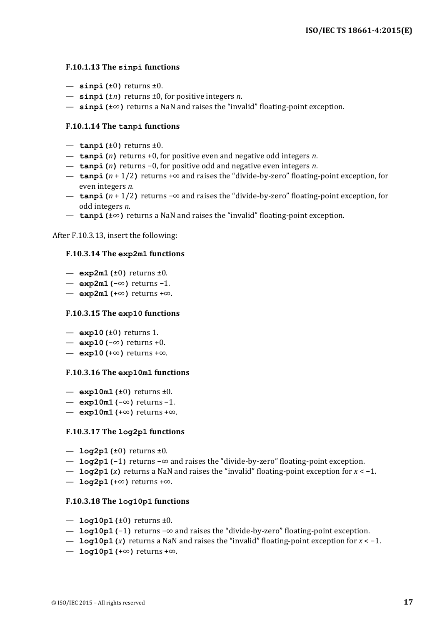#### **F.10.1.13 The sinpi functions**

- $\sin^{-1}(\pm 0)$  returns  $\pm 0$ .
- $-$  **sinpi** ( $\pm n$ ) returns  $\pm 0$ , for positive integers *n*.
- **sinpi** ( $±∞$ ) returns a NaN and raises the "invalid" floating-point exception.

#### **F.10.1.14** The tanpi functions

- $-$  **tanpi** ( $\pm 0$ ) returns  $\pm 0$ .
- $-$  **tanpi** (*n*) returns +0, for positive even and negative odd integers *n*.
- **tanpi(***n***)** returns −0, for positive odd and negative even integers *n*.
- **tanpi** (*n* + 1/2) returns +∞ and raises the "divide-by-zero" floating-point exception, for even integers *n*.
- **tanpi** (*n* + 1/2) returns -∞ and raises the "divide-by-zero" floating-point exception, for odd integers *n*.
- **tanpi(**±∞) returns a NaN and raises the "invalid" floating-point exception.

After F.10.3.13, insert the following:

#### **F.10.3.14 The exp2m1 functions**

- $-$  exp2m1 ( $\pm 0$ ) returns  $\pm 0$ .
- **exp2m1(**−∞**)** returns −1.
- **exp2m1(**+∞**)** returns +∞.

#### **F.10.3.15 The exp10 functions**

- $-$  **exp10(** $\pm$ **0)** returns 1.
- **exp10(**−∞**)** returns +0.
- **exp10(**+∞**)** returns +∞.

#### **F.10.3.16 The exp10m1 functions**

- $-$  exp10m1( $\pm$ 0) returns  $\pm$ 0.
- **exp10m1(**−∞**)** returns −1.
- $-$  **exp10m1(**+∞) returns +∞.

#### **F.10.3.17 The log2p1 functions**

- $-$  **log2p1** ( $\pm$ 0) returns  $\pm$ 0.
- **log2p1(-1)** returns -∞ and raises the "divide-by-zero" floating-point exception.
- **log2p1** (*x*) returns a NaN and raises the "invalid" floating-point exception for *x* < −1.
- **log2p1(**+∞**)** returns +∞.

#### **F.10.3.18 The log10p1 functions**

- $-$  **log10p1(** $\pm$ **0)** returns  $\pm$ 0.
- **log10p1(-1)** returns –∞ and raises the "divide-by-zero" floating-point exception.
- **log10p1** (*x*) returns a NaN and raises the "invalid" floating-point exception for *x* < −1.
- $-$ **log10p1(**+∞) returns +∞.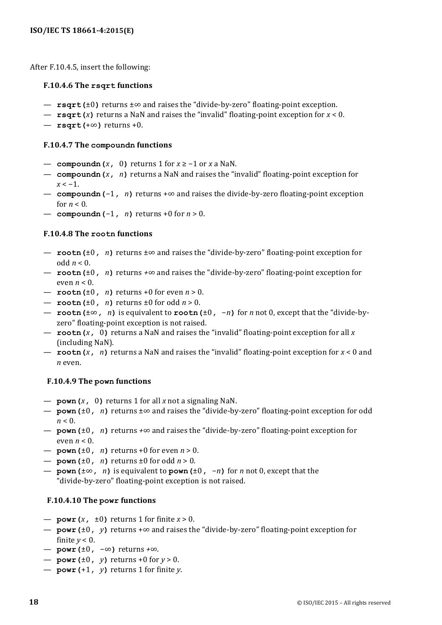After F.10.4.5, insert the following:

#### **F.10.4.6 The rsqrt functions**

- **rsqrt(**±0) returns ±∞ and raises the "divide-by-zero" floating-point exception.
- $-$  **rsqrt(***x*) returns a NaN and raises the "invalid" floating-point exception for  $x < 0$ .
- $-$  **rsqrt(**+∞) returns +0.

#### **F.10.4.7** The compoundn functions

- **compoundn** (*x*, 0) returns 1 for *x* ≥ −1 or *x* a NaN.
- compoundn(*x*, *n*) returns a NaN and raises the "invalid" floating-point exception for  $x < -1$ .
- **compoundn** (−1, *n*) returns +∞ and raises the divide-by-zero floating-point exception for  $n < 0$ .
- **compoundn** (−1, *n*) returns +0 for *n* > 0.

#### **F.10.4.8 The rootn functions**

- **rootn(**±0, *n*) returns ±∞ and raises the "divide-by-zero" floating-point exception for odd  $n < 0$ .
- $\rightarrow$  **rootn** ( $\pm 0$ , *n*) returns  $+\infty$  and raises the "divide-by-zero" floating-point exception for even  $n < 0$ .
- $-$  **rootn** ( $\pm 0$ , *n*) returns  $+0$  for even  $n > 0$ .
- $-$  **rootn**( $\pm 0$ , *n*) returns  $\pm 0$  for odd  $n > 0$ .
- **rootn(**±∞**,** *n***)** is equivalent to **rootn(**±0**,** −*n***)** for *n* not 0, except that the "divide-byzero" floating-point exception is not raised.
- **rootn**(*x*, 0) returns a NaN and raises the "invalid" floating-point exception for all *x* (including NaN).
- **rootn** (*x*, *n*) returns a NaN and raises the "invalid" floating-point exception for *x* < 0 and *n* even.

#### **F.10.4.9 The pown functions**

- $-$  **pown** (*x*, 0) returns 1 for all *x* not a signaling NaN.
- **pown(**±0**,** *n***)** returns ±∞ and raises the "divide-by-zero" floating-point exception for odd  $n < 0$ .
- **pown(**±0**,** *n***)** returns *+*∞ and raises the "divide-by-zero" floating-point exception for even  $n < 0$ .
- $-$  **pown** ( $\pm 0$ , *n*) returns  $+0$  for even  $n > 0$ .
- $\mathbf{pown}(\pm 0, n)$  returns  $\pm 0$  for odd  $n > 0$ .
- **pown(**±∞**,** *n***)** is equivalent to **pown(**±0**,** −*n***)** for *n* not 0, except that the "divide-by-zero" floating-point exception is not raised.

#### **F.10.4.10** The powr functions

- $-$  **powr** (*x*,  $\pm 0$ ) returns 1 for finite *x* > 0.
- $\rightarrow$  **powr** ( $\pm 0$ , *y*) returns + $\infty$  and raises the "divide-by-zero" floating-point exception for finite  $y < 0$ .
- **powr(**±0**,** −∞**)** returns *+*∞.
- $-$  **powr** ( $\pm 0$ , *y*) returns  $+0$  for  $y > 0$ .
- $-$  **powr** (+1, *y*) returns 1 for finite *y*.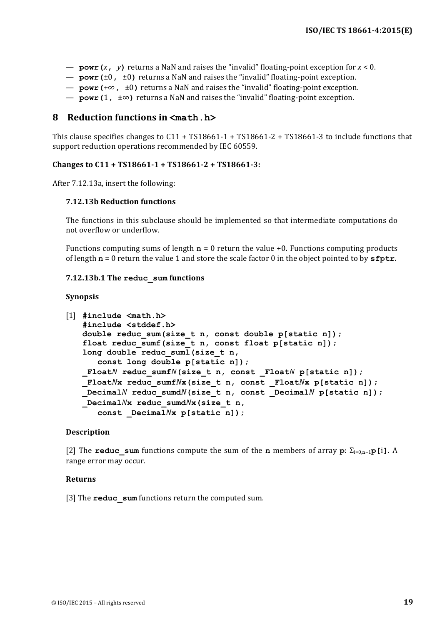- **powr**  $(x, y)$  returns a NaN and raises the "invalid" floating-point exception for  $x < 0$ .
- $\rightarrow$  **powr** ( $\pm 0$ ,  $\pm 0$ ) returns a NaN and raises the "invalid" floating-point exception.
- **powr(**+∞**,** ±0**)** returns a NaN and raises the "invalid" floating-point exception.
- **powr** (1,  $\pm \infty$ ) returns a NaN and raises the "invalid" floating-point exception.

#### **8 Reduction functions in <math.h>**

This clause specifies changes to  $C11 + TS18661-1 + TS18661-2 + TS18661-3$  to include functions that support reduction operations recommended by IEC 60559.

#### Changes to C11 + TS18661-1 + TS18661-2 + TS18661-3:

After 7.12.13a, insert the following:

#### **7.12.13b Reduction functions**

The functions in this subclause should be implemented so that intermediate computations do not overflow or underflow.

Functions computing sums of length  $n = 0$  return the value +0. Functions computing products of length  $\mathbf{n} = 0$  return the value 1 and store the scale factor 0 in the object pointed to by  $\mathbf{sfptr}$ .

#### **7.12.13b.1 The reduc\_sum functions**

#### **Synopsis**

```
[1] #include <math.h>
   #include <stddef.h>
   double reduc_sum(size_t n, const double p[static n]);
   float reduc_sumf(size_t n, const float p[static n]);
   long double reduc_suml(size_t n, 
       const long double p[static n]);
   Float<sup>N</sup> reduc sumf<sup>N</sup>(size t n, const Float<sup>N</sup> p[static n]);
   _FloatNx reduc_sumfNx(size_t n, const _FloatNx p[static n]);
   DecimalN reduc sumdN(size t n, const DecimalN p[static n]);
    _DecimalNx reduc_sumdNx(size_t n, 
       const _DecimalNx p[static n]);
```
#### **Description**

[2] The **reduc\_sum** functions compute the sum of the **n** members of array **p**: Σi=0,**n**−1**p[**i**]**. A range error may occur.

#### **Returns**

[3] The **reduc** sum functions return the computed sum.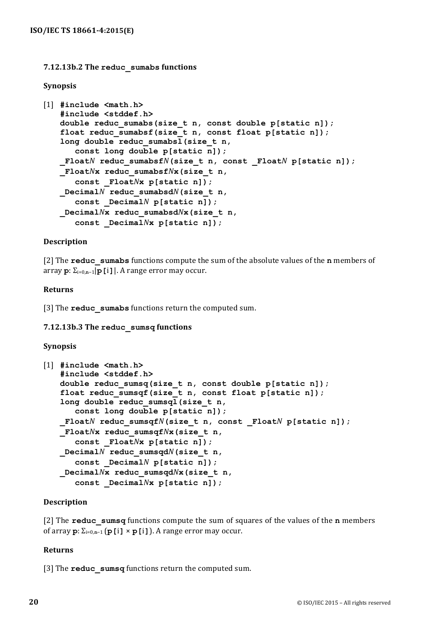#### **7.12.13b.2 The reduc\_sumabs functions**

#### **Synopsis**

```
[1] #include <math.h>
   #include <stddef.h>
   double reduc_sumabs(size_t n, const double p[static n]);
   float reduc sumabsf(size t n, const float p[static n]);
   long double reduc_sumabsl(size_t n, 
      const long double p[static n]);
   _FloatN reduc_sumabsfN(size_t n, const _FloatN p[static n]);
   _FloatNx reduc_sumabsfNx(size_t n, 
      const _FloatNx p[static n]);
   _DecimalN reduc_sumabsdN(size_t n, 
      const _DecimalN p[static n]);
   _DecimalNx reduc_sumabsdNx(size_t n, 
      const _DecimalNx p[static n]);
```
#### **Description**

[2] The **reduc** sumabs functions compute the sum of the absolute values of the **n** members of array **p**: Σi=0,**n**−1|**p[**i**]**|. A range error may occur.

#### **Returns**

[3] The **reduc** sumabs functions return the computed sum.

#### **7.12.13b.3 The reduc\_sumsq functions**

#### **Synopsis**

```
[1] #include <math.h>
   #include <stddef.h>
   double reduc_sumsq(size_t n, const double p[static n]);
   float reduc_sumsqf(size_t n, const float p[static n]);
   long double reduc_sumsql(size_t n, 
       const long double p[static n]);
   Float<sup>N</sup> reduc sumsqf<sup>N</sup>(size t n, const Float<sup>N</sup> p[static n]);
   _FloatNx reduc_sumsqfNx(size_t n, 
       const _FloatNx p[static n]);
   _DecimalN reduc_sumsqdN(size_t n, 
       const _DecimalN p[static n]);
   _DecimalNx reduc_sumsqdNx(size_t n, 
       const _DecimalNx p[static n]);
```
#### **Description**

[2] The **reduc** sumsq functions compute the sum of squares of the values of the **n** members of array **p**: Σi=0,**n**−1 (**p[**i**]** × **p[**i**]**). A range error may occur.

#### **Returns**

[3] The **reduc** sumsq functions return the computed sum.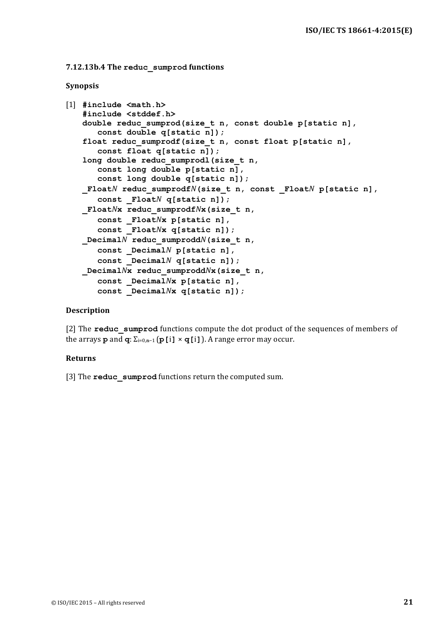```
7.12.13b.4 The	reduc_sumprod functions
```
#### **Synopsis**

```
[1] #include <math.h>
   #include <stddef.h>
   double reduc_sumprod(size_t n, const double p[static n], 
      const double q[static n]);
   float reduc_sumprodf(size_t n, const float p[static n], 
      const float q[static n]);
   long double reduc_sumprodl(size_t n, 
      const long double p[static n], 
      const long double q[static n]);
   _FloatN reduc_sumprodfN(size_t n, const _FloatN p[static n], 
      const _FloatN q[static n]);
   _FloatNx reduc_sumprodfNx(size_t n, 
      const _FloatNx p[static n], 
      const _FloatNx q[static n]);
   _DecimalN reduc_sumproddN(size_t n, 
      const _DecimalN p[static n], 
      const _DecimalN q[static n]);
   _DecimalNx reduc_sumproddNx(size_t n, 
      const _DecimalNx p[static n], 
      const _DecimalNx q[static n]);
```
#### **Description**

[2] The **reduc** sumprod functions compute the dot product of the sequences of members of the arrays **p** and  $\mathbf{q}$ :  $\Sigma_{i=0,n-1}$  (**p[i]**  $\times$   $\mathbf{q}$ [i]). A range error may occur.

#### **Returns**

[3] The **reduc** sumprod functions return the computed sum.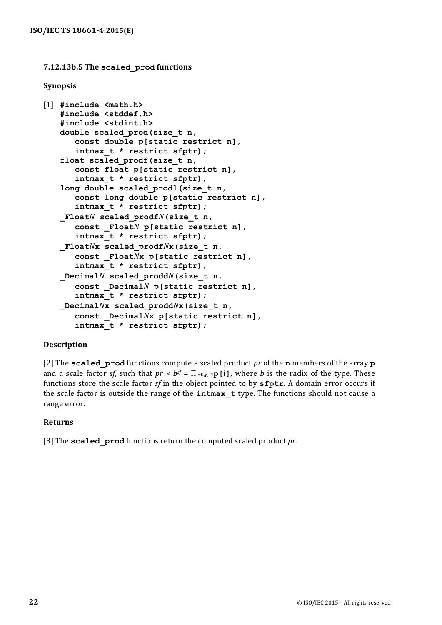#### **7.12.13b.5 The scaled\_prod functions**

#### **Synopsis**

```
[1] #include <math.h>
   #include <stddef.h>
   #include <stdint.h>
   double scaled_prod(size_t n, 
      const double p[static restrict n], 
      intmax_t * restrict sfptr);
   float scaled_prodf(size_t n, 
      const float p[static restrict n], 
      intmax_t * restrict sfptr);
   long double scaled_prodl(size_t n, 
      const long double p[static restrict n],
      intmax_t * restrict sfptr);
   _FloatN scaled_prodfN(size_t n, 
      const _FloatN p[static restrict n], 
      intmax_t * restrict sfptr);
   _FloatNx scaled_prodfNx(size_t n, 
      const _FloatNx p[static restrict n], 
      intmax_t * restrict sfptr);
   _DecimalN scaled_proddN(size_t n, 
      const _DecimalN p[static restrict n],
      intmax_t * restrict sfptr);
   _DecimalNx scaled_proddNx(size_t n, 
      const _DecimalNx p[static restrict n],
      intmax_t * restrict sfptr);
```
#### **Description**

[2] The **scaled** prod functions compute a scaled product *pr* of the **n** members of the array **p** and a scale factor *sf*, such that  $pr \times b^{sf} = \prod_{i=0,n-1}p[i]$ , where *b* is the radix of the type. These functions store the scale factor *sf* in the object pointed to by **sfptr**. A domain error occurs if the scale factor is outside the range of the **intmax t** type. The functions should not cause a range error.

#### **Returns**

[3] The **scaled prod** functions return the computed scaled product *pr*.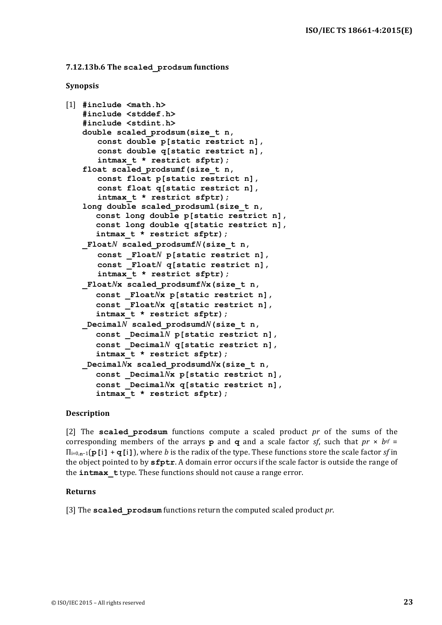```
7.12.13b.6	The	scaled_prodsum functions
```
#### **Synopsis**

```
[1] #include <math.h>
   #include <stddef.h>
   #include <stdint.h>
   double scaled_prodsum(size_t n, 
      const double p[static restrict n], 
      const double q[static restrict n], 
      intmax_t * restrict sfptr);
   float scaled_prodsumf(size_t n, 
      const float p[static restrict n], 
      const float q[static restrict n], 
      intmax_t * restrict sfptr);
   long double scaled_prodsuml(size_t n, 
      const long double p[static restrict n], 
      const long double q[static restrict n], 
      intmax_t * restrict sfptr);
   FloatN scaled prodsumfN(size t n,
      const _FloatN p[static restrict n], 
      const _FloatN q[static restrict n], 
      intmax_t * restrict sfptr);
   _FloatNx scaled_prodsumfNx(size_t n, 
      const _FloatNx p[static restrict n], 
      const _FloatNx q[static restrict n], 
      intmax_t * restrict sfptr);
   _DecimalN scaled_prodsumdN(size_t n, 
      const _DecimalN p[static restrict n], 
      const _DecimalN q[static restrict n], 
      intmax_t * restrict sfptr);
   _DecimalNx scaled_prodsumdNx(size_t n, 
      const _DecimalNx p[static restrict n], 
      const _DecimalNx q[static restrict n], 
      intmax_t * restrict sfptr);
```
#### **Description**

[2] The **scaled prodsum** functions compute a scaled product *pr* of the sums of the corresponding members of the arrays **p** and **q** and a scale factor *sf*, such that  $pr \times bf =$  $\Pi_{i=0,n-1}$ (**p**[i] + **q**[i]), where *b* is the radix of the type. These functions store the scale factor *sf* in the object pointed to by  $\textsf{sfptr}$ . A domain error occurs if the scale factor is outside the range of the **intmax** t type. These functions should not cause a range error.

#### **Returns**

[3] The **scaled prodsum** functions return the computed scaled product *pr*.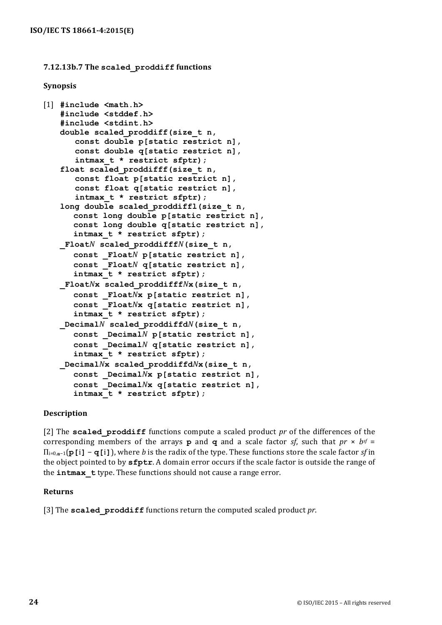#### **7.12.13b.7 The scaled\_proddiff functions**

#### **Synopsis**

```
[1] #include <math.h>
   #include <stddef.h>
   #include <stdint.h>
   double scaled_proddiff(size_t n, 
      const double p[static restrict n], 
      const double q[static restrict n], 
      intmax_t * restrict sfptr);
   float scaled_proddifff(size_t n, 
      const float p[static restrict n], 
      const float q[static restrict n], 
      intmax_t * restrict sfptr);
   long double scaled_proddiffl(size_t n, 
      const long double p[static restrict n], 
      const long double q[static restrict n], 
      intmax_t * restrict sfptr);
   _FloatN scaled_proddifffN(size_t n, 
      const _FloatN p[static restrict n], 
      const _FloatN q[static restrict n], 
      intmax_t * restrict sfptr);
   _FloatNx scaled_proddifffNx(size_t n, 
      const _FloatNx p[static restrict n], 
      const _FloatNx q[static restrict n], 
      intmax_t * restrict sfptr);
   _DecimalN scaled_proddiffdN(size_t n, 
      const _DecimalN p[static restrict n], 
      const _DecimalN q[static restrict n], 
      intmax_t * restrict sfptr);
   _DecimalNx scaled_proddiffdNx(size_t n, 
      const _DecimalNx p[static restrict n], 
      const _DecimalNx q[static restrict n], 
      intmax_t * restrict sfptr);
```
#### **Description**

[2] The **scaled proddiff** functions compute a scaled product *pr* of the differences of the corresponding members of the arrays **p** and **q** and a scale factor *sf*, such that  $pr \times bf =$ Πi=0,**n**−1(**p[**i**]** − **q[**i**]**), where *b* is the radix of the type. These functions store the scale factor *sf* in the object pointed to by  $\texttt{sfptr}$ . A domain error occurs if the scale factor is outside the range of the **intmax** type. These functions should not cause a range error.

#### **Returns**

[3] The **scaled proddiff** functions return the computed scaled product pr.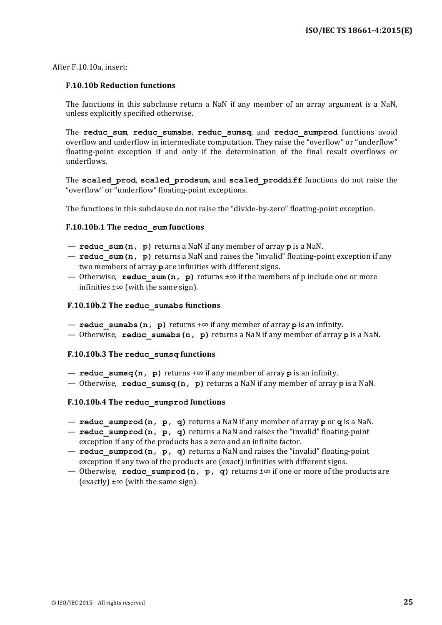After F.10.10a, insert:

#### **F.10.10b Reduction functions**

The functions in this subclause return a NaN if any member of an array argument is a NaN, unless explicitly specified otherwise.

The reduc sum, reduc sumabs, reduc sumsq, and reduc sumprod functions avoid overflow and underflow in intermediate computation. They raise the "overflow" or "underflow" floating-point exception if and only if the determination of the final result overflows or underflows.

The scaled prod, scaled prodsum, and scaled proddiff functions do not raise the "overflow" or "underflow" floating-point exceptions.

The functions in this subclause do not raise the "divide-by-zero" floating-point exception.

#### **F.10.10b.1 The reduc\_sum functions**

- $-$  **reduc** sum(n, p) returns a NaN if any member of array p is a NaN.
- $-$  **reduc** sum(n,  $p)$  returns a NaN and raises the "invalid" floating-point exception if any two members of array **p** are infinities with different signs.
- Otherwise, **reduc** sum(n, **p**) returns  $\pm \infty$  if the members of p include one or more infinities  $±∞$  (with the same sign).

#### **F.10.10b.2 The reduc\_sumabs functions**

- **reduc** sumabs (n, **p**) returns  $+\infty$  if any member of array **p** is an infinity.
- $\sim$  Otherwise, **reduc** sumabs (n, **p**) returns a NaN if any member of array **p** is a NaN.

#### **F.10.10b.3 The reduc\_sumsq functions**

- $-$  **reduc** sumsq(n, **p**) returns  $+\infty$  if any member of array **p** is an infinity.
- Otherwise, **reduc** sumsq(n,  $p)$  returns a NaN if any member of array  $p$  is a NaN.

#### **F.10.10b.4 The reduc\_sumprod functions**

- $-$  **reduc** sumprod (n, p, q) returns a NaN if any member of array p or q is a NaN.
- $-$  **reduc\_sumprod(n, p, q)** returns a NaN and raises the "invalid" floating-point exception if any of the products has a zero and an infinite factor.
- **reduc\_sumprod(n, p, q)** returns a NaN and raises the "invalid" floating-point exception if any two of the products are (exact) infinities with different signs.
- Otherwise, **reduc** sumprod(n,  $p$ , q) returns  $\pm \infty$  if one or more of the products are (exactly)  $\pm \infty$  (with the same sign).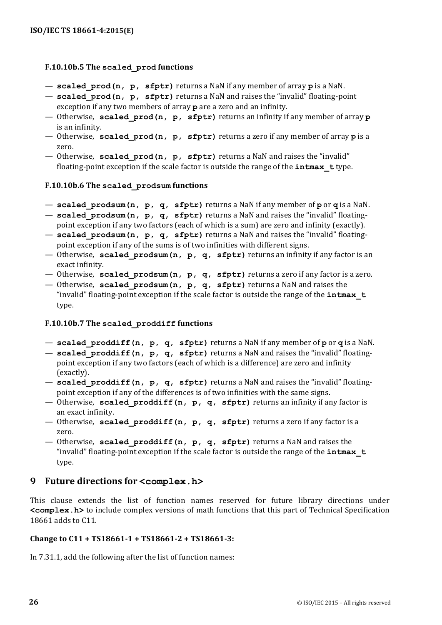### **F.10.10b.5** The scaled prod functions

- $-$  **scaled** prod(n, p, sfptr) returns a NaN if any member of array p is a NaN.
- **scaled** prod(n, p, sfptr) returns a NaN and raises the "invalid" floating-point exception if any two members of array **p** are a zero and an infinity.
- Otherwise, **scaled\_prod(n, p, sfptr)** returns an infinity if any member of array **p** is an infinity.
- $-$  Otherwise, **scaled** prod(n, p, **sfptr)** returns a zero if any member of array p is a zero.
- Otherwise, scaled\_prod(n, p, sfptr) returns a NaN and raises the "invalid" floating-point exception if the scale factor is outside the range of the **intmax** type.

#### **F.10.10b.6** The scaled prodsum functions

- $-$  scaled\_prodsum(n, p, q, sfptr) returns a NaN if any member of por q is a NaN.
- scaled\_prodsum(n, p, q, sfptr) returns a NaN and raises the "invalid" floatingpoint exception if any two factors (each of which is a sum) are zero and infinity (exactly).
- scaled prodsum(n, p, q, sfptr) returns a NaN and raises the "invalid" floatingpoint exception if any of the sums is of two infinities with different signs.
- Otherwise, scaled prodsum(n, p, q, sfptr) returns an infinity if any factor is an exact infinity.
- Otherwise, scaled prodsum(n, p, q, sfptr) returns a zero if any factor is a zero.
- Otherwise, **scaled** prodsum(n, p, q, sfptr) returns a NaN and raises the "invalid" floating-point exception if the scale factor is outside the range of the  $intmax$  t type.

#### **F.10.10b.7** The scaled proddiff functions

- $-$  scaled\_proddiff(n, p, q, sfptr) returns a NaN if any member of por q is a NaN.
- **scaled proddiff(n, p, q, sfptr)** returns a NaN and raises the "invalid" floatingpoint exception if any two factors (each of which is a difference) are zero and infinity (exactly).
- scaled proddiff(n, p, q, sfptr) returns a NaN and raises the "invalid" floatingpoint exception if any of the differences is of two infinities with the same signs.
- Otherwise, **scaled proddiff(n, p, q, sfptr)** returns an infinity if any factor is an exact infinity.
- Otherwise, **scaled proddiff(n, p, q, sfptr)** returns a zero if any factor is a zero.
- $-$  Otherwise, scaled\_proddiff(n, p, q, sfptr) returns a NaN and raises the "invalid" floating-point exception if the scale factor is outside the range of the **intmax** t type.

## **9 Future directions for <complex.h>**

This clause extends the list of function names reserved for future library directions under **<complex.h>** to include complex versions of math functions that this part of Technical Specification 18661 adds to C11.

#### Change to C11 + TS18661-1 + TS18661-2 + TS18661-3:

In 7.31.1, add the following after the list of function names: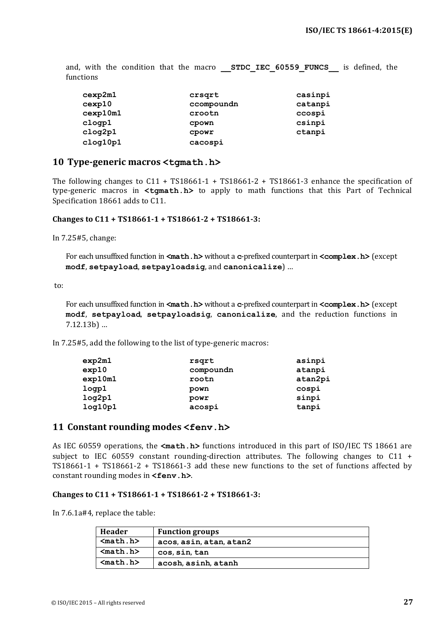and, with the condition that the macro **STDC IEC 60559 FUNCS** is defined, the functions

| cexp2m1  | crsqrt     | casinpi |
|----------|------------|---------|
| cexp10   | ccompoundn | catanpi |
| cexp10m1 | crootn     | ccospi  |
| clogp1   | cpown      | csinpi  |
| clog2p1  | CPOWY      | ctanpi  |
| clog10p1 | cacospi    |         |

#### **10 Type-generic macros <tgmath.h>**

The following changes to  $C11 + TS18661-1 + TS18661-2 + TS18661-3$  enhance the specification of type-generic macros in <tgmath.h> to apply to math functions that this Part of Technical Specification 18661 adds to C11.

#### Changes to C11 + TS18661-1 + TS18661-2 + TS18661-3:

In 7.25#5, change:

For each unsuffixed function in  $\leq$  math.h> without a c-prefixed counterpart in  $\leq$  complex.h> (except **modf**, **setpayload**, **setpayloadsig**, and **canonicalize**) …

to:

For each unsuffixed function in <math.h> without a c-prefixed counterpart in <complex.h> (except **modf**, **setpayload**, **setpayloadsig**, **canonicalize**, and the reduction functions in 7.12.13b) …

In 7.25#5, add the following to the list of type-generic macros:

| exp2m1  | rsqrt     | asinpi  |
|---------|-----------|---------|
| exp10   | compoundn | atanpi  |
| exp10m1 | rootn     | atan2pi |
| logp1   | pown      | cospi   |
| log2p1  | powr      | sinpi   |
| log10p1 | acospi    | tanpi   |

#### 11 **Constant rounding modes** <fenv.h>

As IEC 60559 operations, the **<math.h>** functions introduced in this part of ISO/IEC TS 18661 are subject to IEC 60559 constant rounding-direction attributes. The following changes to  $C_11 + C_2$ TS18661-1 + TS18661-2 + TS18661-3 add these new functions to the set of functions affected by constant rounding modes in **<fenv.h>**.

#### Changes to C11 + TS18661-1 + TS18661-2 + TS18661-3:

In  $7.6.1a\#4$ , replace the table:

| Header     | <b>Function groups</b>  |
|------------|-------------------------|
| $math. h>$ | acos, asin, atan, atan2 |
| $math. h>$ | cos, sin, tan           |
| $math. h>$ | acosh, asinh, atanh     |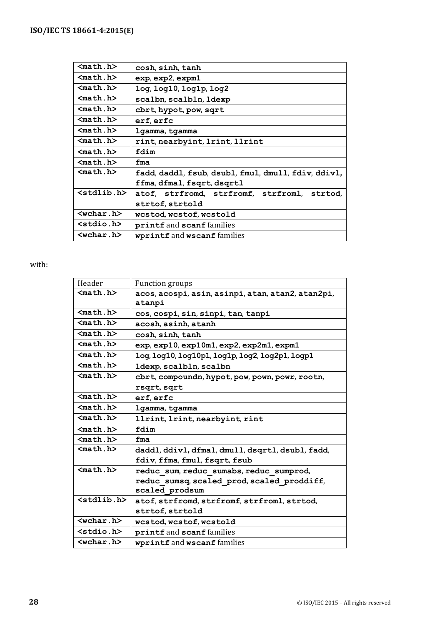| $mathh$             | cosh, sinh, tanh                                    |
|---------------------|-----------------------------------------------------|
| $math. h>$          | exp, exp2, expm1                                    |
| $math. h>$          | log, log10, log1p, log2                             |
| $mathh$             | scalbn, scalbln, ldexp                              |
| $math. h>$          | cbrt, hypot, pow, sqrt                              |
| $math. h>$          | erf, erfc                                           |
| $math. h>$          | lgamma, tgamma                                      |
| $math. h>$          | rint, nearbyint, lrint, llrint                      |
| $math. h>$          | fdim                                                |
| $math. h>$          | fma                                                 |
| $math. h>$          | fadd, daddl, fsub, dsubl, fmul, dmull, fdiv, ddivl, |
|                     | ffma, dfmal, fsqrt, dsqrtl                          |
| $<$ stdlib.h $>$    | atof, strfromd, strfromf, strfroml, strtod,         |
|                     | strtof, strtold                                     |
| $wchar h>$          | wcstod, wcstof, wcstold                             |
| <stdio.h></stdio.h> | printf and scanf families                           |
| $wchar h>$          | wprintf and wscanf families                         |

### with:

| Header                      | <b>Function groups</b>                            |
|-----------------------------|---------------------------------------------------|
| $math. h>$                  | acos, acospi, asin, asinpi, atan, atan2, atan2pi, |
|                             | atanpi                                            |
| $n_1.h>$                    | cos, cospi, sin, sinpi, tan, tanpi                |
| $math. h>$                  | acosh, asinh, atanh                               |
| $n_1.h>$                    | cosh, sinh, tanh                                  |
| $math. h>$                  | exp, exp10, exp10m1, exp2, exp2m1, expm1          |
| $math. h>$                  | log, log10, log10p1, log1p, log2, log2p1, logp1   |
| $math. h>$                  | ldexp, scalbln, scalbn                            |
| $math. h>$                  | cbrt, compoundn, hypot, pow, pown, powr, rootn,   |
|                             | rsqrt, sqrt                                       |
| $math.h>$                   | erf, erfc                                         |
| $math.h>$                   | 1gamma, tgamma                                    |
| $nath.h$                    | llrint, lrint, nearbyint, rint                    |
| $math. h>$                  | fdim                                              |
| $nath.h$                    | fma                                               |
| $math. h>$                  | daddl, ddivl, dfmal, dmull, dsqrtl, dsubl, fadd,  |
|                             | fdiv, ffma, fmul, fsqrt, fsub                     |
| $math. h>$                  | reduc sum, reduc sumabs, reduc sumprod,           |
|                             | reduc sumsq, scaled prod, scaled proddiff,        |
|                             | scaled prodsum                                    |
| $<$ stdlib.h $>$            | atof, strfromd, strfromf, strfroml, strtod,       |
|                             | strtof, strtold                                   |
| $\langle$ wchar.h $\rangle$ | wcstod, wcstof, wcstold                           |
| $<$ stdio.h $>$             | printf and scanf families                         |
| $wchar h>$                  | wprintf and wscanf families                       |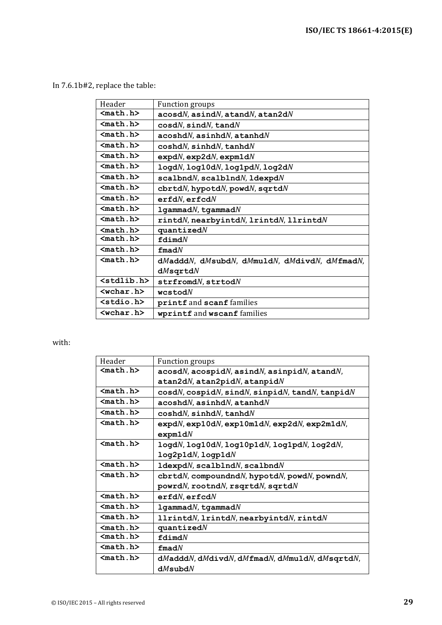In 7.6.1b#2, replace the table:

| Header                | <b>Function groups</b>                             |
|-----------------------|----------------------------------------------------|
| $mathh$               | $acosdN$ , asind $N$ , atand $N$ , atan2d $N$      |
| $math.h>$             | $\cos dN$ , $\sin dN$ , $\tan dN$                  |
| $mathh$               | $acosh dN$ , asinhd $N$ , atanhd $N$               |
| $math.h>$             | $\cosh dN$ , sinhd $N$ , tanhd $N$                 |
| $mathh$               | $expdN$ , $exp2dN$ , $expm1dN$                     |
| $mathh$               | logdN, log10dN, log1pdN, log2dN                    |
| $math. h>$            | $scalbmdN$ , $scalbmdN$ , $1dexpdN$                |
| $mathh$               | ${\tt chrtd}N$ , hypotd $N$ , powd $N$ , sqrtd $N$ |
| $math. h>$            | erfdN, erfcdN                                      |
| $mathh$               | $1$ gammad $N$ , tgammad $N$                       |
| $nath.h$              | rintdN, nearbyintdN, lrintdN, llrintdN             |
| $math. h>$            | quantized <i>N</i>                                 |
| $n_1.h>$              | $fd$ imd $N$                                       |
| $mathh$               | $\pmb{\quad \text{find}} N$                        |
| $math. h>$            | dMadddN, dMsubdN, dMmuldN, dMdivdN, dMfmadN,       |
|                       | $dM$ sqrtd $N$                                     |
| <stdlib.h></stdlib.h> | $\texttt{strfromd}N, \texttt{strtod}N$             |
| $wchar$ .h>           | $w$ cstod $N$                                      |
| <stdio.h></stdio.h>   | printf and scanf families                          |
| $wchar.b>$            | wprintf and wscanf families                        |

#### with:

| Header     | <b>Function groups</b>                                                                                  |
|------------|---------------------------------------------------------------------------------------------------------|
| $math. h>$ | $acosdN$ , $acospidN$ , $asindN$ , $asinpidN$ , $atandN$ ,                                              |
|            | $atan 2dN$ , $atan 2pidN$ , $atan 2dN$                                                                  |
| $math. h>$ | $\cos dN$ , $\cos p \cdot dN$ , $\sin dN$ , $\sin p \cdot dN$ , $\tan dN$ , $\tan p \cdot dN$           |
| $nath.h$   | $acosh dN$ , asinhd $N$ , atanhd $N$                                                                    |
| $mathh$    | $\cosh dN$ , sinhd $N$ , tanhd $N$                                                                      |
| $n_1.h>$   | $expdN$ , $exp10dN$ , $exp10m1dN$ , $exp2dN$ , $exp2m1dN$ ,                                             |
|            | expm1dN                                                                                                 |
| $math. h>$ | $\mathtt{logd}N$ , $\mathtt{log10d}N$ , $\mathtt{log10p1d}N$ , $\mathtt{log1pd}N$ , $\mathtt{log2d}N$ , |
|            | $log2$ p $1dN$ , logp $1dN$                                                                             |
| $mathh$    | $1$ dexpd $N$ , sca $1$ b $1$ nd $N$ , sca $1$ bnd $N$                                                  |
| $math. h>$ | ${\tt chrtd}N$ , compoundnd $N$ , hypotd $N$ , powd $N$ , pownd $N$ ,                                   |
|            | $powrdN$ , $rootndN$ , $rsqrtdN$ , $sqrtN$                                                              |
| $math. h>$ | erfdN, erfcdN                                                                                           |
| $math. h>$ | $1$ gammad $N$ , tgammad $N$                                                                            |
| $math. h>$ | $11$ rintd $N$ , lrintd $N$ , nearbyintd $N$ , rintd $N$                                                |
| $math. h>$ | quantized <i>N</i>                                                                                      |
| $mathh.h>$ | fdimdN                                                                                                  |
| $math. h>$ | $f$ mad $N$                                                                                             |
| $math. h>$ | dMadddN, dMdivdN, dMfmadN, dMmuldN, dMsqrtdN,                                                           |
|            | $dM$ subd $N$                                                                                           |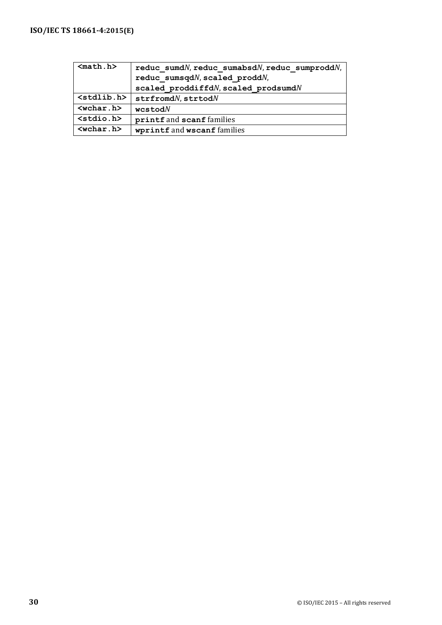| $math. h>$                                  | reduc sumdN, reduc sumabsdN, reduc sumproddN, |
|---------------------------------------------|-----------------------------------------------|
|                                             | reduc sumsqdN, scaled proddN,                 |
|                                             | scaled proddiffdN, scaled prodsumdN           |
| $\left\langle \text{stdlib.h}\right\rangle$ | $\texttt{strfromd}N$ , $\texttt{strtod}N$     |
| $\langle \text{wchar.h}\rangle$             | $w$ cstod $N$                                 |
| $<$ stdio.h $>$                             | printf and scanf families                     |
| $\langle \text{wchar.h}\rangle$             | wprintf and wscanf families                   |